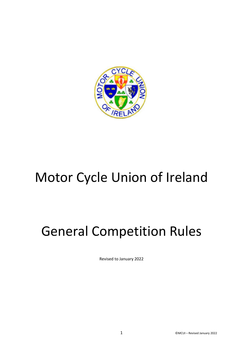

# Motor Cycle Union of Ireland

# General Competition Rules

Revised to January 2022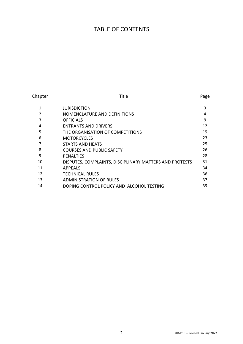### TABLE OF CONTENTS

| Chapter       | Title                                                   | Page |
|---------------|---------------------------------------------------------|------|
| 1             | <b>JURISDICTION</b>                                     | 3    |
| $\mathcal{P}$ | NOMENCLATURE AND DEFINITIONS                            | 4    |
| 3             | <b>OFFICIALS</b>                                        | 9    |
| 4             | <b>ENTRANTS AND DRIVERS</b>                             | 12   |
| 5             | THE ORGANISATION OF COMPETITIONS                        | 19   |
| 6             | <b>MOTORCYCLES</b>                                      | 23   |
| 7             | STARTS AND HEATS                                        | 25   |
| 8             | <b>COURSES AND PUBLIC SAFETY</b>                        | 26   |
| 9             | <b>PENALTIES</b>                                        | 28   |
| 10            | DISPUTES, COMPLAINTS, DISCIPLINARY MATTERS AND PROTESTS | 31   |
| 11            | <b>APPEALS</b>                                          | 34   |
| 12            | <b>TECHNICAL RULES</b>                                  | 36   |
| 13            | <b>ADMINISTRATION OF RULES</b>                          | 37   |
| 14            | DOPING CONTROL POLICY AND ALCOHOL TESTING               | 39   |
|               |                                                         |      |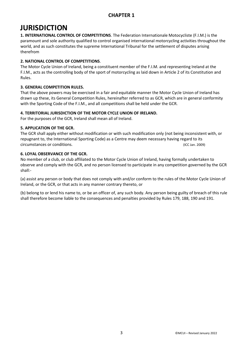### **JURISDICTION**

**1. INTERNATIONAL CONTROL OF COMPETITIONS**. The Federation Internationale Motocycliste (F.I.M.) is the paramount and sole authority qualified to control organised international motorcycling activities throughout the world, and as such constitutes the supreme International Tribunal for the settlement of disputes arising therefrom

#### **2. NATIONAL CONTROL OF COMPETITIONS**.

The Motor Cycle Union of Ireland, being a constituent member of the F.I.M. and representing Ireland at the F.I.M., acts as the controlling body of the sport of motorcycling as laid down in Article 2 of its Constitution and Rules.

### **3. GENERAL COMPETITION RULES.**

That the above powers may be exercised in a fair and equitable manner the Motor Cycle Union of Ireland has drawn up these, its General Competition Rules, hereinafter referred to as GCR, which are in general conformity with the Sporting Code of the F.I.M., and all competitions shall be held under the GCR.

### **4. TERRITORIAL JURISDICTION OF THE MOTOR CYCLE UNION OF IRELAND.**

For the purposes of the GCR, Ireland shall mean all of Ireland.

#### **5. APPLICATION OF THE GCR.**

The GCR shall apply either without modification or with such modification only (not being inconsistent with, or repugnant to, the International Sporting Code) as a Centre may deem necessary having regard to its circumstances or conditions. (ICC Jan. 2009)

### **6. LOYAL OBSERVANCE OF THE GCR.**

No member of a club, or club affiliated to the Motor Cycle Union of Ireland, having formally undertaken to observe and comply with the GCR, and no person licensed to participate in any competition governed by the GCR shall:-

(a) assist any person or body that does not comply with and/or conform to the rules of the Motor Cycle Union of Ireland, or the GCR, or that acts in any manner contrary thereto, or

(b) belong to or lend his name to, or be an officer of, any such body. Any person being guilty of breach of this rule shall therefore become liable to the consequences and penalties provided by Rules 179, 188, 190 and 191.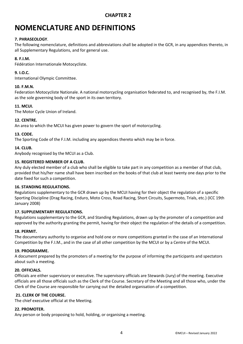## **NOMENCLATURE AND DEFINITIONS**

#### **7. PHRASEOLOGY**.

The following nomenclature, definitions and abbreviations shall be adopted in the GCR, in any appendices thereto, in all Supplementary Regulations, and for general use.

#### **8. F.I.M.**

Fédération Internationale Motocycliste.

#### **9. I.O.C.**

International Olympic Committee.

#### **10. F.M.N.**

Federation Motocycliste Nationale. A national motorcycling organisation federated to, and recognised by, the F.I.M. as the sole governing body of the sport in its own territory.

#### **11. MCUI.**

The Motor Cycle Union of Ireland.

#### **12. CENTRE.**

An area to which the MCUI has given power to govern the sport of motorcycling.

#### **13. CODE.**

The Sporting Code of the F.I.M. including any appendices thereto which may be in force.

#### **14. CLUB.**

Anybody recognised by the MCUI as a Club.

#### **15. REGISTERED MEMBER OF A CLUB.**

Any duly elected member of a club who shall be eligible to take part in any competition as a member of that club, provided that his/her name shall have been inscribed on the books of that club at least twenty one days prior to the date fixed for such a competition.

#### **16. STANDING REGULATIONS.**

Regulations supplementary to the GCR drawn up by the MCUI having for their object the regulation of a specific Sporting Discipline (Drag Racing, Enduro, Moto Cross, Road Racing, Short Circuits, Supermoto, Trials, etc.) (ICC 19th January 2008)

#### **17. SUPPLEMENTARY REGULATIONS.**

Regulations supplementary to the GCR, and Standing Regulations, drawn up by the promoter of a competition and approved by the authority granting the permit, having for their object the regulation of the details of a competition.

#### **18. PERMIT.**

The documentary authority to organise and hold one or more competitions granted in the case of an International Competition by the F.I.M., and in the case of all other competition by the MCUI or by a Centre of the MCUI.

#### **19. PROGRAMME.**

A document prepared by the promoters of a meeting for the purpose of informing the participants and spectators about such a meeting.

#### **20. OFFICIALS.**

Officials are either supervisory or executive. The supervisory officials are Stewards (Jury) of the meeting. Executive officials are all those officials such as the Clerk of the Course. Secretary of the Meeting and all those who, under the Clerk of the Course are responsible for carrying out the detailed organisation of a competition.

#### **21. CLERK OF THE COURSE.**

The chief executive official at the Meeting.

#### **22. PROMOTER.**

Any person or body proposing to hold, holding, or organising a meeting.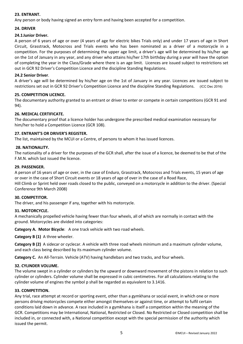#### **23. ENTRANT.**

Any person or body having signed an entry form and having been accepted for a competition.

#### **24. DRIVER**

#### **24.1Junior Driver.**

A person of 6 years of age or over (4 years of age for electric bikes Trials only) and under 17 years of age in Short Circuit, Grasstrack, Motocross and Trials events who has been nominated as a driver of a motorcycle in a competition. For the purposes of determining the upper age limit, a driver's age will be determined by his/her age on the 1st of January in any year, and any driver who attains his/her 17th birthday during a year will have the option of completing the year in the Class/Grade where there is an age limit. Licences are issued subject to restrictions set out in GCR 92 Driver's Competition Licence and the discipline Standing Regulations.

#### **24.2 Senior Driver**.

A driver's age will be determined by his/her age on the 1st of January in any year. Licences are issued subject to restrictions set out in GCR 92 Driver's Competition Licence and the discipline Standing Regulations. (ICC Dec 2016)

#### **25. COMPETITION LICENCE.**

The documentary authority granted to an entrant or driver to enter or compete in certain competitions (GCR 91 and 94).

#### **26. MEDICAL CERTIFICATE.**

The documentary proof that a licence holder has undergone the prescribed medical examination necessary for him/her to hold a Competition Licence (GCR 108).

#### **27. ENTRANT'S OR DRIVER'S REGISTER.**

The list, maintained by the MCUI or a Centre, of persons to whom it has issued licences.

#### **28. NATIONALITY.**

The nationality of a driver for the purposes of the GCR shall, after the issue of a licence, be deemed to be that of the F.M.N. which last issued the licence.

#### **29. PASSENGER.**

A person of 16 years of age or over, in the case of Enduro, Grasstrack, Motocross and Trials events, 15 years of age or over in the case of Short Circuit events or 18 years of age of over in the case of a Road Race, Hill Climb or Sprint held over roads closed to the public, conveyed on a motorcycle in addition to the driver. (Special Conference 9th March 2008)

#### **30. COMPETITOR.**

The driver, and his passenger if any, together with his motorcycle.

#### **31. MOTORCYCLE.**

A mechanically propelled vehicle having fewer than four wheels, all of which are normally in contact with the ground. Motorcycles are divided into categories:

**Category A. Motor Bicycle**: A one track vehicle with two road wheels.

**Category B (1)** A three wheeler.

**Category B (2)** A sidecar or cyclecar. A vehicle with three road wheels minimum and a maximum cylinder volume, and each class being described by its maximum cylinder volume.

**Category C.** An All-Terrain. Vehicle (ATV) having handlebars and two tracks, and four wheels.

#### **32. CYLINDER VOLUME.**

The volume swept in a cylinder or cylinders by the upward or downward movement of the pistons in relation to such cylinder or cylinders. Cylinder volume shall be expressed in cubic centimetres. For all calculations relating to the cylinder volume of engines the symbol p shall be regarded as equivalent to 3.1416.

#### **33. COMPETITION.**

Any trial, race attempt at record or sporting event, other than a gymkhana or social event, in which one or more persons driving motorcycles compete either amongst themselves or against time, or attempt to fulfil certain conditions laid down in advance. A race included in a gymkhana is itself a competition within the meaning of the GCR. Competitions may be International, National, Restricted or Closed. No Restricted or Closed competition shall be included in, or connected with, a National competition except with the special permission of the authority which issued the permit.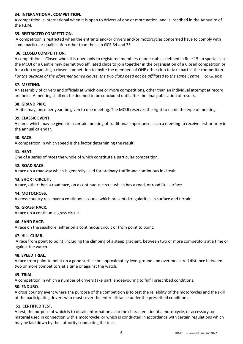#### **34. INTERNATIONAL COMPETITION.**

A competition is International when it is open to drivers of one or more nation, and is inscribed in the Annuaire of the F.I.M.

#### **35. RESTRICTED COMPETITION.**

A competition is restricted when the entrants and/or drivers and/or motorcycles concerned have to comply with some particular qualification other than those in GCR 34 and 35.

#### **36. CLOSED COMPETITION.**

A competition is Closed when it is open only to registered members of one club as defined in Rule 15. In special cases the MCUI or a Centre may permit two affiliated clubs to join together in the organisation of a Closed competition or for a club organising a closed competition to invite the members of ONE other club to take part in the competition.

*For the purpose of the aforementioned clause, the two clubs need not be affiliated to the same Centre.* (ICC Jan. 2009)

#### **37. MEETING.**

An assembly of drivers and officials at which one or more competitions, other than an individual attempt at record, are held. A meeting shall not be deemed to be concluded until after the final publication of results.

#### **38. GRAND PRIX.**

A title may, once per year, be given to one meeting. The MCUI reserves the right to name the type of meeting.

#### **39. CLASSIC EVENT.**

A name which may be given to a certain meeting of traditional importance, such a meeting to receive first priority in the annual calendar.

#### **40. RACE.**

A competition in which speed is the factor determining the result.

#### **41. HEAT.**

One of a series of races the whole of which constitute a particular competition.

#### **42. ROAD RACE.**

A race on a roadway which is generally used for ordinary traffic and continuous in circuit.

#### **43. SHORT CIRCUIT.**

A race, other than a road race, on a continuous circuit which has a road, or road like surface.

#### **44. MOTOCROSS.**

A cross country race over a continuous course which presents irregularities in surface and terrain.

#### **45. GRASSTRACK.**

A race on a continuous grass circuit.

#### **46. SAND RACE.**

A race on the seashore, either on a continuous circuit or from point to point.

#### **47. HILL CLIMB.**

A race from point to point, including the climbing of a steep gradient, between two or more competitors at a time or against the watch.

#### **48. SPEED TRIAL.**

A race from point to point on a good surface on approximately level ground and over measured distance between two or more competitors at a time or against the watch.

#### **49. TRIAL**.

A competition in which a number of drivers take part, endeavouring to fulfil prescribed conditions.

#### **50. ENDURO**.

A cross country event where the purpose of the competition is to test the reliability of the motorcycles and the skill of the participating drivers who must cover the entire distance under the prescribed conditions.

#### **51. CERTIFIED TEST.**

A test, the purpose of which is to obtain information as to the characteristics of a motorcycle, or accessory, or material used in connection with a motorcycle, or which is conducted in accordance with certain regulations which may be laid down by the authority conducting the tests.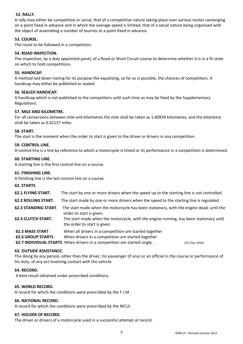#### **52. RALLY.**

A rally may either be competitive or social, that of a competitive nature taking place over various routes converging on a point fixed in advance and in which the average speed is limited; that of a social nature being organised with the object of assembling a number of tourists at a point fixed in advance.

#### **53. COURSE.**

The route to be followed in a competition.

#### **54. ROAD INSPECTION.**

The inspection, by a duly appointed panel, of a Road or Short Circuit course to determine whether it is in a fit state on which to hold competitions.

#### **55. HANDICAP.**

A method laid down having for its purpose the equalising, so far as is possible, the chances of competitors. A handicap may either be published or sealed.

#### **56. SEALED HANDICAP.**

A handicap which is not published to the competitors until such time as may be fixed by the Supplementary Regulations.

#### **57. MILE AND KILOMETRE.**

For all conversions between mile and kilometres the mile shall be taken as 1.60934 kilometres, and the kilometre shall be taken as 0.62137 miles.

#### **58. START.**

The start is the moment when the order to start is given to the driver or drivers in any competition.

#### **59. CONTROL LINE.**

A control line is a line by reference to which a motorcycle is timed or its performance in a competition is determined.

#### **60. STARTING LINE.**

A starting line is the first control line on a course.

#### **61. FINISHING LINE.**

A finishing line is the last control line on a course.

- **62. STARTS**
- **62.1 FLYING START.** The start by one or more drivers when the speed up to the starting line is not controlled.
- **62.2 ROLLING START.** The start made by one or more drivers when the speed to the starting line is regulated.
- **62.3 STANDING START**. The start made when the motorcycle has been stationary, with the engine dead, until the order to start is given.
- **62.4 CLUTCH START.** The start made when the motorcycle, with the engine running, has been stationary until the order to start is given.
- **62.5 MASS START** When all drivers in a competition are started together

**62.6 GROUP STARTS** When drivers in a competition are started together

**62.7 INDIVIDUAL STARTS** When drivers in a competition are started singly. (ICC Dec 2016)

#### **63. OUTSIDE ASSISTANCE.**

The doing by any person, other than the driver, his passenger (if any) or an official in the course or performance of his duty, of any act involving contact with the vehicle.

#### **64. RECORD.**

A best result obtained under prescribed conditions.

#### **65. WORLD RECORD.**

A record for which the conditions were prescribed by the F.I.M..

#### **66. NATIONAL RECORD.**

A record for which the conditions were prescribed by the MCUI.

#### **67. HOLDER OF RECORD.**

The driver or drivers of a motorcycle used in a successful attempt at record.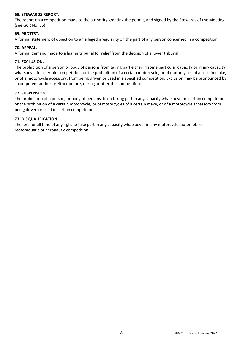#### **68. STEWARDS REPORT.**

The report on a competition made to the authority granting the permit, and signed by the Stewards of the Meeting (see GCR No. 85)

#### **69. PROTEST.**

A formal statement of objection to an alleged irregularity on the part of any person concerned in a competition.

#### **70. APPEAL.**

A formal demand made to a higher tribunal for relief from the decision of a lower tribunal.

#### **71. EXCLUSION.**

The prohibition of a person or body of persons from taking part either in some particular capacity or in any capacity whatsoever in a certain competition, or the prohibition of a certain motorcycle, or of motorcycles of a certain make, or of a motorcycle accessory, from being driven or used in a specified competition. Exclusion may be pronounced by a competent authority either before, during or after the competition.

#### **72. SUSPENSION.**

The prohibition of a person, or body of persons, from taking part in any capacity whatsoever in certain competitions or the prohibition of a certain motorcycle, or of motorcycles of a certain make, or of a motorcycle accessory from being driven or used in certain competition.

#### **73. DISQUALIFICATION.**

The loss for all time of any right to take part in any capacity whatsoever in any motorcycle, automobile, motoraquatic or aeronautic competition.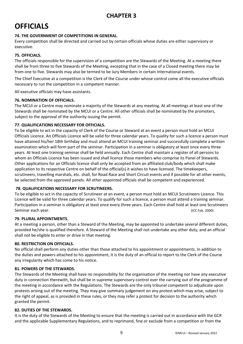### **OFFICIALS**

#### **74. THE GOVERNMENT OF COMPETITIONS IN GENERAL**.

Every competition shall be directed and carried out by certain officials whose duties are either supervisory or executive.

#### **75. OFFICIALS.**

The officials responsible for the supervision of a competition are the Stewards of the Meeting. At a meeting there shall be from three to five Stewards of the Meeting, excepting that in the case of a Closed meeting there may be from one to five. Stewards may also be termed to be Jury Members in certain International events.

The Chief Executive at a competition is the Clerk of the Course under whose control come all the executive officials necessary to run the competition in a competent manner.

All executive officials may have assistants.

#### **76. NOMINATION OF OFFICIALS.**

The MCUI or a Centre may nominate a majority of the Stewards at any meeting. At all meetings at least one of the Stewards shall be nominated by the MCUI or a Centre. All other officials shall be nominated by the promoters, subject to the approval of the authority issuing the permit.

#### **77. QUALIFICATIONS NECESSARY FOR OFFICIALS.**

To be eligible to act in the capacity of Clerk of the Course or Steward at an event a person must hold an MCUI Officials Licence. An Officials Licence will be valid for three calendar years. To quality for such a licence a person must have attained his/her 18th birthday and must attend an MCUI training seminar and successfully complete a written examination which will form part of the seminar. Participation in a seminar is obligatory at least once every three years. At least one training seminar shall be held annually. Each Centre shall maintain a register of all persons to whom an Officials Licence has been issued and shall licence those members who comprise its Panel of Stewards. Other applications for an Officials licence shall only be accepted from an affiliated club/body which shall make application to its respective Centre on behalf of the official(s) it wishes to have licensed. The timekeepers, scrutineers, travelling marshals, etc. shall, for Road Race and Short Circuit events and if possible for all other events, be selected from the approved panels. All other appointed officials shall be competent and experienced.

#### **78. QUALIFICATIONS NECESSARY FOR SCRUTINEERS.**

To be eligible to act in the capacity of Scrutineer at an event, a person must hold an MCUI Scrutineers Licence. This Licence will be valid for three calendar years. To qualify for such a licence, a person must attend a training seminar. Participation in a seminar is obligatory at least once every three years. Each Centre shall hold at least one Scrutineers Seminar each year. (ICC Feb. 2000)

#### **79. PLURAL APPOINTMENTS.**

At a meeting a person, other than a Steward of the Meeting, may be appointed to undertake several different duties, provided he/she is qualified therefore. A Steward of the Meeting shall not undertake any other duty, and an official shall not be eligible to enter or drive in that meeting.

#### **80. RESTRICTION ON OFFICIALS.**

No official shall perform any duties other than those attached to his appointment or appointments. In addition to the duties and powers attached to his appointment, it is the duty of an official to report to the Clerk of the Course any irregularity which has come to his notice.

#### **81. POWERS OF THE STEWARDS.**

The Stewards of the Meeting shall have no responsibility for the organisation of the meeting nor have any executive duty in connection therewith, but shall be in supreme supervisory control over the carrying out of the programme of the meeting in accordance with the Regulations. The Stewards are the only tribunal competent to adjudicate upon protests arising out of the meeting. They may give summary judgement on any protest which may arise, subject to the right of appeal, as is provided in these rules, or they may refer a protest for decision to the authority which granted the permit.

#### **82. DUTIES OF THE STEWARDS.**

It is the duty of the Stewards of the Meeting to ensure that the meeting is carried out in accordance with the GCR and the applicable Supplementary Regulations, and to reprimand, fine or exclude from a competition or from the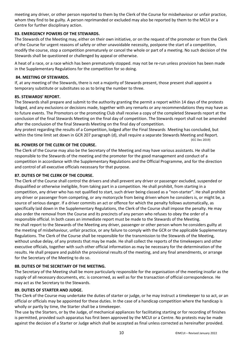meeting any driver, or other person reported to them by the Clerk of the Course for misbehaviour or unfair practice, whom they find to be guilty. A person reprimanded or excluded may also be reported by them to the MCUI or a Centre for further disciplinary action.

#### **83. EMERGENCY POWERS OF THE STEWARDS.**

The Stewards of the Meeting may, either on their own initiative, or on the request of the promoter or from the Clerk of the Course for urgent reasons of safety or other unavoidable necessity, postpone the start of a competition, modify the course, stop a competition prematurely or cancel the whole or part of a meeting. No such decision of the Stewards shall be questioned or challenged by appeal or otherwise.

A heat of a race, or a race which has been prematurely stopped. may not be re-run unless provision has been made in the Supplementary Regulations for the competition for so doing.

#### **84. MEETING OF STEWARDS.**

If, at any meeting of the Stewards, there is not a majority of Stewards present, those present shall appoint a temporary substitute or substitutes so as to bring the number to three.

#### **85. STEWARDS' REPORT.**

The Stewards shall prepare and submit to the authority granting the permit a report within 14 days of the protests lodged, and any exclusions or decisions made, together with any remarks or any recommendations they may have as to future events. The Promotors or the promoting Club shall receive a copy of the completed Stewards report at the conclusion of the final Stewards Meeting on the final day of competition. The Stewards report shall not be amended after the conclusion of the final Stewards Meeting on the final day of competition.

Any protest regarding the results of a Competition, lodged after the Final Stewards Meeting has concluded, but within the time limit set down in GCR 207 paragraph (d), shall require a separate Stewards Meeting and Report.<br>(ICC Dec 2019)

#### **86. POWERS OF THE CLERK OF THE COURSE.**

The Clerk of the Course may also be the Secretary of the Meeting and may have various assistants. He shall be responsible to the Stewards of the meeting and the promoter for the good management and conduct of a competition in accordance with the Supplementary Regulations and the Official Programme, and for the direction and control of all executive officials necessary for that purpose.

#### **87. DUTIES OF THE CLERK OF THE COURSE.**

The Clerk of the Course shall control the drivers and shall prevent any driver or passenger excluded, suspended or disqualified or otherwise ineligible, from taking part in a competition. He shall prohibit, from starting in a competition, any driver who has not qualified to start, such driver being classed as a "non-starter". He shall prohibit any driver or passenger from competing, or any motorcycle from being driven whom he considers is, or might be, a source of serious danger. If a driver commits an act or offence for which the penalty follows automatically, as specifically laid down in the Supplementary Regulations, the Clerk of the Course shall impose the penalty. He may also order the removal from the Course and its precincts of any person who refuses to obey the order of a responsible official. In both cases an immediate report must be made to the Stewards of the Meeting. He shall report to the Stewards of the Meeting any driver, passenger or other person whom he considers guilty at the meeting of misbehaviour, unfair practice, or any failure to comply with the GCR or the applicable Supplementary Regulations. The Clerk of the Course shall be responsible for the transmission to the Stewards of the Meeting, without undue delay, of any protests that may be made. He shall collect the reports of the timekeepers and other executive officials, together with such other official information as may be necessary for the determination of the results. He shall prepare and publish the provisional results of the meeting, and any final amendments, or arrange for the Secretary of the Meeting to do so.

#### **88. DUTIES OF THE SECRETARY OF THE MEETING.**

The Secretary of the Meeting shall be more particularly responsible for the organisation of the meeting insofar as the supply of all necessary documents, etc. is concerned, as well as for the transaction of official correspondence. He may act as the Secretary to the Stewards.

#### **89. DUTIES OF STARTER AND JUDGE.**

The Clerk of the Course may undertake the duties of starter or judge, or he may instruct a timekeeper to so act, or an official or officials may be appointed for these duties. In the case of a handicap competition where the handicap is wholly or partly by time, the Starter shall be a timekeeper.

The use by the Starters, or by the Judge, of mechanical appliances for facilitating starting or for recording of finishes is permitted, provided such apparatus has first been approved by the MCUI or a Centre. No protests may be made against the decision of a Starter or Judge which shall be accepted as final unless corrected as hereinafter provided.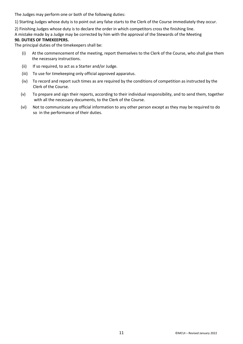The Judges may perform one or both of the following duties:

1) Starting Judges whose duty is to point out any false starts to the Clerk of the Course immediately they occur.

2) Finishing Judges whose duty is to declare the order in which competitors cross the finishing line. A mistake made by a Judge may be corrected by him with the approval of the Stewards of the Meeting **90. DUTIES OF TIMEKEEPERS.** 

The principal duties of the timekeepers shall be:

- (i) At the commencement of the meeting, report themselves to the Clerk of the Course, who shall give them the necessary instructions.
- (ii) If so required, to act as a Starter and/or Judge.
- (iii) To use for timekeeping only official approved apparatus.
- (iv) To record and report such times as are required by the conditions of competition as instructed by the Clerk of the Course.
- (v) To prepare and sign their reports, according to their individual responsibility, and to send them, together with all the necessary documents, to the Clerk of the Course.
- (vi) Not to communicate any official information to any other person except as they may be required to do so in the performance of their duties.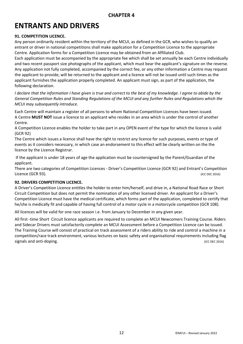### **ENTRANTS AND DRIVERS**

#### **91. COMPETITION LICENCE.**

Any person ordinarily resident within the territory of the MCUI, as defined in the GCR, who wishes to qualify an entrant or driver in national competitions shall make application for a Competition Licence to the appropriate Centre. Application forms for a Competition Licence may be obtained from an Affiliated Club.

Each application must be accompanied by the appropriate fee which shall be set annually be each Centre individually and two recent passport size photographs of the applicant, which must bear the applicant's signature on the reverse. Any application not fully completed, accompanied by the correct fee, or any other information a Centre may request the applicant to provide, will be returned to the applicant and a licence will not be issued until such times as the applicant furnishes the application properly completed. An applicant must sign, as part of the application, the following declaration.

*I* declare that the information I have given is true and correct to the best of my knowledge. I agree to abide by the *General Competition Rules and Standing Regulations of the MCUI and any further Rules and Regulations which the MCUI may subsequently introduce.* 

Each Centre will maintain a register of all persons to whom National Competition Licences have been issued. A Centre **MUST NOT** issue a licence to an applicant who resides in an area which is under the control of another Centre.

A Competition Licence enables the holder to take part in any OPEN event of the type for which the licence is valid (GCR 92)

The Centre which issues a licence shall have the right to restrict any licence for such purposes, events or type of events as it considers necessary, in which case an endorsement to this effect will be clearly written on the the licence by the Licence Registrar.

If the applicant is under 18 years of age the application must be countersigned by the Parent/Guardian of the applicant.

There are two categories of Competition Licences - Driver's Competition Licence (GCR 92) and Entrant's Competition Licence (GCR 93). (ICC DEC 2016)

#### **92. DRIVERS COMPETITION LICENCE.**

A Driver's Competition Licence entitles the holder to enter him/herself, and drive in, a National Road Race or Short Circuit Competition but does not permit the nomination of any other licensed driver. An applicant for a Driver's Competition Licence must have the medical certificate, which forms part of the application, completed to certify that he/she is medically fit and capable of having full control of a motor cycle in a motorcycle competition (GCR 108).

All licences will be valid for one race season i.e. from January to December in any given year.

All first -time Short Circuit licence applicants are required to complete an MCUI Newcomers Training Course. Riders and Sidecar Drivers must satisfactorily complete an MCUI Assessment before a Competition Licence can be issued. The Training Course will consist of practical on track assessment of a riders ability to ride and control a machine in a competition/race track environment, various lectures on basic safety and organisational requirements including flag signals and anti-doping. The state of the state of the state of the state of the state of the state of the state of the state of the state of the state of the state of the state of the state of the state of the state of th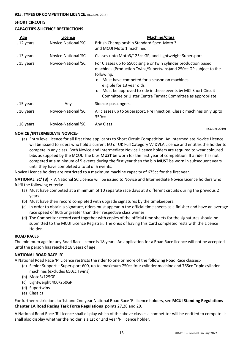### **SHORT CIRCUITS**

#### **CAPACITIES &LICENCE RESTRICTIONS**

| <b>Age</b> | Licence              | <b>Machine/Class</b>                                                                                                                                                                                                                                                                                                                                                                             |
|------------|----------------------|--------------------------------------------------------------------------------------------------------------------------------------------------------------------------------------------------------------------------------------------------------------------------------------------------------------------------------------------------------------------------------------------------|
| . 12 years | Novice-National 'SC' | British Championship Standard Spec. Moto 3<br>and MCUI Moto 1 machines                                                                                                                                                                                                                                                                                                                           |
| . 13 years | Novice-National 'SC' | Classes upto Moto3/125cc GP, and Lightweight Supersport                                                                                                                                                                                                                                                                                                                                          |
| . 15 years | Novice-National 'SC' | For Classes up to 650cc single or twin cylinder production based<br>machines (Production Twins/Supertwins) and 250cc GP subject to the<br>following:<br>Must have competed for a season on machines<br>$\mathsf{o}$<br>eligible for 13 year olds<br>Must be approved to ride in these events by MCI Short Circuit<br>$\mathsf{o}$<br>Committee or Ulster Centre Tarmac Committee as appropriate. |
| . 15 years | Any                  | Sidecar passengers.                                                                                                                                                                                                                                                                                                                                                                              |
| . 16 years | Novice-National 'SC' | All classes up to Supersport, Pre Injection, Classic machines only up to<br>350cc                                                                                                                                                                                                                                                                                                                |
| . 18 years | Novice-National 'SC' | Any Class                                                                                                                                                                                                                                                                                                                                                                                        |
|            |                      | (ICC Dec 2019)                                                                                                                                                                                                                                                                                                                                                                                   |

#### **NOVICE /INTERMEDIATE NOVICE:-**

(a) Entry level licence for all first time applicants to Short Circuit Competition. An Intermediate Novice Licence will be issued to riders who hold a current EU or UK Full Category 'A' DVLA Licence and entitles the holder to compete in any class. Both Novice and Intermediate Novice Licence holders are required to wear coloured bibs as supplied by the MCUI. The bibs **MUST** be worn for the first year of competition. If a rider has not competed at a minimum of 5 events during the first year then the bib **MUST** be worn in subsequent years until they have completed a total of 5 events.

Novice Licence holders are restricted to a maximum machine capacity of 675cc for the first year.

**NATIONAL 'SC' (B) :-** A National SC Licence will be issued to Novice and Intermediate Novice Licence holders who fulfil the following criteria:-

- (a) Must have competed at a minimum of 10 separate race days at 3 different circuits during the previous 2 years.
- (b) Must have their record completed with upgrade signatures by the timekeepers.
- (c) In order to obtain a signature, riders must appear in the official time sheets as a finisher and have an average race speed of 90% or greater than their respective class winner.
- (d) The Competitor record card together with copies of the official time sheets for the signatures should be submitted to the MCUI Licence Registrar. The onus of having this Card completed rests with the Licence Holder.

#### **ROAD RACES**

The minimum age for any Road Race licence is 18 years. An application for a Road Race licence will not be accepted until the person has reached 18 years of age.

#### **NATIONAL ROAD RACE 'R'**

A National Road Race 'R' Licence restricts the rider to one or more of the following Road Race classes:-

- (a) Senior Support Supersport 600, up to maximum 750cc four cylinder machine and 765cc Triple cylinder machines (excludes 650cc Twins)
- (b) Moto3/125GP
- (c) Lightweight 400/250GP
- (d) Supertwins
- (e) Classics

For further restrictions to 1st and 2nd year National Road Race 'R' licence holders, see **MCUI Standing Regulations Chapter 1A Road Racing Task Force Regulations** points 27,28 and 29.

A National Road Race 'R' Licence shall display which of the above classes a competitor will be entitled to compete. It shall also display whether the holder is a 1st or 2nd year 'R' licence holder.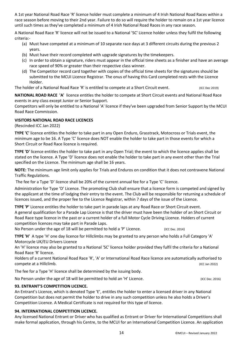A 1st year National Road Race 'R' licence holder must complete a minimum of 4 Irish National Road Races within a race season before moving to their 2nd year. Failure to do so will require the holder to remain on a 1st year licence until such times as they've completed a minimum of 4 Irish National Road Races in any race season.

A National Road Race 'R' licence will not be issued to a National 'SC' Licence holder unless they fulfil the following criteria:-

- (a) Must have competed at a minimum of 10 separate race days at 3 different circuits during the previous 2 years.
- (b) Must have their record completed with upgrade signatures by the timekeepers.
- (c) In order to obtain a signature, riders must appear in the official time sheets as a finisher and have an average race speed of 90% or greater than their respective class winner.
- (d) The Competitor record card together with copies of the official time sheets for the signatures should be submitted to the MCUI Licence Registrar. The onus of having this Card completed rests with the Licence Holder.

The holder of a National Road Race 'R' is entitled to compete at a Short Circuit event. (ICC Dec 2019)

**NATIONAL ROAD RACE 'A'** licence entitles the holder to compete at Short Circuit events and National Road Race events in any class except Junior or Senior Support.

Competitors will only be entitled to a National 'A' licence if they've been upgraded from Senior Support by the MCUI Road Race Commission.

#### **VISITORS NATIONAL ROAD RACE LICENCES**

(Rescinded ICC Jan 2022)

**TYPE 'C'** licence entitles the holder to take part in any Open Enduro, Grasstrack, Motocross or Trials event, the minimum age to be 16. A Type 'C' licence does NOT enable the holder to take part in those events for which a Short Circuit or Road Race licence is required.

**TYPE 'D'** licence entitles the holder to take part in any Open Trial; the event to which the licence applies shall be stated on the licence. A Type 'D' licence does not enable the holder to take part in any event other than the Trial specified on the Licence. The minimum age shall be 16 years.

**NOTE:** The minimum age limit only applies for Trials and Enduros on condition that it does not contravene National Traffic Regulations.

The fee for a Type 'D' licence shall be 20% of the current annual fee for a Type 'C' licence.

Administration for Type 'D' Licence. The promoting Club shall ensure that a licence form is competed and signed by the applicant at the time of lodging their entry to the event. The Club will be responsible for returning a schedule of licences issued, and the proper fee to the Licence Registrar, within 7 days of the issue of the Licence.

**TYPE 'P'** Licence entitles the holder to take part in parade laps at any Road Race or Short Circuit event. A general qualification for a Parade Lap Licence is that the driver must have been the holder of an Short Circuit or Road Race type licence in the past or a current holder of a full Motor Cycle Driving Licence. Holders of current competition licences may take part in Parade Laps.

No Person under the age of 18 will be permitted to hold a 'P' Licence. (ICC Dec. 2014)

**TYPE 'H'** A type 'H' one day licence for Hillclimbs may be granted to any person who holds a Full Category 'A' Motorcycle UK/EU Drivers Licence

An 'H' licence may also be granted to a National 'SC' licence holder provided they fulfil the criteria for a National Road Race 'R' licence.

Holders of a current National Road Race 'R', 'A' or International Road Race licence are automatically authorised to compete at a Hillclimb. (ICC Jan 2022)

The fee for a Type 'H' licence shall be determined by the issuing body.

No Person under the age of 18 will be permitted to hold an 'H' Licence. (ICC Dec. 2016) (ICC Dec. 2016)

#### **93. ENTRANT'S COMPETITION LICENCE.**

An Entrant's Licence, which is denoted Type 'E', entitles the holder to enter a licensed driver in any National Competition but does not permit the holder to drive in any such competition unless he also holds a Driver's Competition Licence. A Medical Certificate is not required for this type of licence.

#### **94. INTERNATIONAL COMPETITION LICENCE.**

Any licensed National Entrant or Driver who has qualified as Entrant or Driver for International Competitions shall make formal application, through his Centre, to the MCUI for an International Competition Licence. An application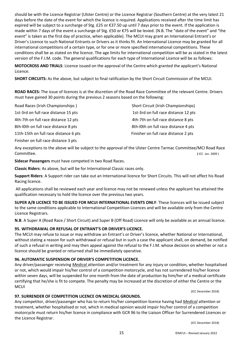should be with the Licence Registrar (Ulster Centre) or the Licence Registrar (Southern Centre) at the very latest 21 days before the date of the event for which the licence is required. Applications received after the time limit has expired will be subject to a surcharge of Stg. £25 or €37.50 up until 7 days prior to the event. If the application is made within 7 days of the event a surcharge of Stg. £50 or €75 will be levied. (N.B. The "date of the event" and "the event" is taken as the first day of practice, when applicable). The MCUI may grant an International Entrant's or Driver's Licence to such National Entrants or Drivers as it thinks fit. An International Licence may be granted for all international competitions of a certain type, or for one or more specified international competitions. These conditions shall be as stated on the licence. The age limits for international competition will be as stated in the latest version of the F.I.M. code. The general qualifications for each type of International Licence will be as follows:

**MOTOCROSS AND TRIALS**: Licence issued on the approval of the Centre which granted the applicant's National Licence.

**SHORT CIRCUITS:** As the above, but subject to final ratification by the Short Circuit Commission of the MCUI.

**ROAD RACES:** The issue of licences is at the discretion of the Road Race Committee of the relevant Centre. Drivers must have gained 30 points during the previous 2 seasons based on the following:

Road Races (Irish Championships ) Short Circuit (Irish Championships) 1st-3rd on full race distance 15 pts 1st-3rd on full race distance 12 pts 4th-7th on full race distance 12 pts 4th-7th on full race distance 8 pts 8th-l0th on full race distance 8 pts 8th-l0th on full race distance 4 pts 11th-15th on full race distance 6 pts Finisher on full race distance 2 pts

Finisher on full race distance 3 pts

Any exceptions to the above will be subject to the approval of the Ulster Centre Tarmac Committee/MCI Road Race Committee. **(** ICC Jan. 2009 )

**Sidecar Passengers** must have competed in two Road Races.

**Classic Riders**: As above, but will be for International Classic races only.

**Support Riders**: A Support rider can take out an International licence for Short Circuits. This will not affect his Road Racing licence.

All applications shall be reviewed each year and licence may not be renewed unless the applicant has attained the qualification necessary to hold the licence over the previous two years.

**SUPER A/B LICENCE TO BE ISSUED FOR MCUI INTERNATIONAL EVENTS ONLY**: These licences will be issued subject to the same conditions applicable to International Competition Licences and will be available only from the Centre Licence Registrars.

**N.B**. A Super A (Road Race / Short Circuit) and Super B (Off Road) Licence will only be available as an annual licence.

#### **95. WITHDRAWAL OR REFUSAL OF ENTRANT'S OR DRIVER'S LICENCE.**

The MCUI may refuse to issue or may withdraw an Entrant's or Driver's licence, whether National or International, without stating a reason for such withdrawal or refusal but in such a case the applicant shall, on demand, be notified of such a refusal in writing and may then appeal against the refusal to the F.I.M. whose decision on whether or not a licence should be granted or returned shall be immediately operative.

#### **96. AUTOMATIC SUSPENSION OF DRIVER'S COMPETITION LICENCE.**

Any driver/passenger receiving *Medical* attention and/or treatment for any injury or condition, whether hospitalised or not, which would impair his/her control of a competition motorcycle, and has not surrendered his/her licence within seven days, will be suspended for one month from the date of production by him/her of a medical certificate certifying that he/she is fit to compete. The penalty may be increased at the discretion of either the Centre or the **MCUI** 

(ICC December 2018)

#### **97. SURRENDER OF COMPETITION LICENCE ON MEDICAL GROUNDS.**

Any competitor, driver/passenger who has to return his/her competition licence having had *Medical* attention or treatment, whether hospitalised or not, which in medical opinion would impair his/her control of a competition motorcycle must return his/her licence in compliance with GCR 96 to the Liaison Officer for Surrendered Licences or the Licence Registrar.

(ICC December 2018)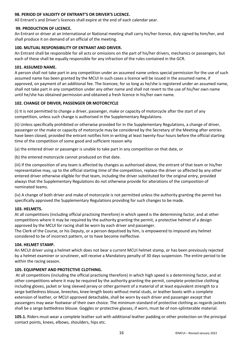#### **98. PERIOD OF VALIDITY OF ENTRANT'S OR DRIVER'S LICENCE.**

All Entrant's and Driver's licences shall expire at the end of each calendar year.

#### **99. PRODUCTION OF LICENCE.**

An Entrant or driver at an International or National meeting shall carry his/her licence, duly signed by him/her, and shall produce it on demand of an official of the meeting.

#### **100. MUTUAL RESPONSIBILITY OF ENTRANT AND DRIVER.**

An Entrant shall be responsible for all acts or omissions on the part of his/her drivers, mechanics or passengers, but each of these shall be equally responsible for any infraction of the rules contained in the GCR.

#### **101. ASSUMED NAME.**

A person shall not take part in any competition under an assumed name unless special permission for the use of such assumed name has been granted by the MCUI In such cases a licence will be issued in the assumed name, if approved, on payment of an additional fee. The licencee, for so long as he/she is registered under an assumed name, shall not take part in any competition under any other name and shall not revert to the use of his/her own name until he/she has obtained permission and obtained a fresh licence in his/her own name.

#### **102. CHANGE OF DRIVER, PASSENGER OR MOTORCYCLE**

(i) It is not permitted to change a driver, passenger, make or capacity of motorcycle after the start of any competition, unless such change is authorised in the Supplementary Regulations.

(ii) Unless specifically prohibited or otherwise provided for in the Supplementary Regulations, a change of driver, passenger or the make or capacity of motorcycle may be considered by the Secretary of the Meeting after entries have been closed, provided the entrant notifies him in writing at least twenty-four hours before the official starting time of the competition of some good and sufficient reason why

(a) the entered driver or passenger is unable to take part in any competition on that date, or

(b) the entered motorcycle cannot produced on that date.

(iii) If the composition of any team is affected by changes as authorised above, the entrant of that team or his/her representative may, up to the official starting time of the competition, replace the driver so affected by any other entered driver otherwise eligible for that team, including the driver substituted for the original entry, provided always that the Supplementary Regulations do not otherwise provide for alterations of the composition of nominated teams.

(iv) A change of both driver and make of motorcycle is not permitted unless the authority granting the permit has specifically approved the Supplementary Regulations providing for such changes to be made.

#### **103. HELMETS.**

At all competitions (including official practising therefore) in which speed is the determining factor, and at other competitions where it may be required by the authority granting the permit, a protective helmet of a design approved by the MCUI for racing shall be worn by each driver and passenger.

The Clerk of the Course, or his Deputy, or a person deputised by him, is empowered to impound any helmet considered to be of incorrect pattern, or to have become ineffective.

#### **104. HELMET STAMP.**

An MCUI driver using a helmet which does not bear a current MCUI helmet stamp, or has been previously rejected by a helmet examiner or scrutineer, will receive a Mandatory penalty of 30 days suspension. The entire period to be within the racing season.

#### **105. EQUIPMENT AND PROTECTIVE CLOTHING.**

At all competitions (including the official practising therefore) in which high speed is a determining factor, and at other competitions where it may be required by the authority granting the permit, complete protective clothing including gloves, jacket or long sleeved jersey or other garment of a material of at least equivalent strength to a serge battledress blouse, breeches, knee-length boots without metal studs, or leather boots with a complete extension of leather, or MCUI approved detachable, shall be worn by each driver and passenger except that passengers may wear footwear of their own choice. The minimum standard of protective clothing as regards jackets shall be a serge battledress blouse. Goggles or protective glasses, if worn, must be of non-splinterable material.

**105.1.** Riders must wear a complete leather suit with additional leather padding or other protection on the principal contact points, knees, elbows, shoulders, hips etc.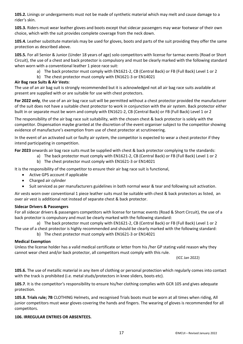**105.2.** Linings or undergarments must not be made of synthetic material which may melt and cause damage to a rider's skin.

**105.3.** Riders must wear leather gloves and boots except that sidecar passengers may wear footwear of their own choice, which with the suit provides complete coverage from the neck down.

**105.4.** Leather substitute materials may be used for gloves, boots and parts of the suit providing they offer the same protection as described above.

**105.5.** For all Senior & Junior (Under 18 years of age) solo competitors with license for tarmac events (Road or Short Circuit), the use of a chest and back protector is compulsory and must be clearly marked with the following standard when worn with a conventional leather 1 piece race suit:

a) The back protector must comply with EN1621-2, CB (Central Back) or FB (Full Back) Level 1 or 2

b) The chest protector must comply with EN1621-3 or EN14021

#### **Air Bag race Suits & Air Vests**:

The use of an air bag suit is strongly recommended but it is acknowledged not all air bag race suits available at present are supplied with or are suitable for use with chest protectors.

**For 2022 only**, the use of an air bag race suit will be permitted without a chest protector provided the manufacturer of the suit does not have a suitable chest protector to work in conjunction with the air system. Back protector either built in or separate must be worn and comply with EN1621-2, CB (Central Back) or FB (Full Back) Level 1 or 2

The responsibility of the air bag race suit suitability, with the chosen chest & back protector is solely with the competitor. Dispensation maybe granted at the discretion of the event organiser subject to the competitor showing evidence of manufacture's exemption from use of chest protector at scrutineering.

In the event of an activated suit or faulty air system, the competitor is expected to wear a chest protector if they intend participating in competition.

**For 2023** onwards air bag race suits must be supplied with chest & back protector complying to the standards:

- a) The back protector must comply with EN1621-2, CB (Central Back) or FB (Full Back) Level 1 or 2
	- b) The chest protector must comply with EN1621-3 or EN14021

It is the responsibility of the competitor to ensure their air bag race suit is functional,

- Active GPS account if applicable
- Charged air cylinder
- Suit serviced as per manufacturers guidelines in both normal wear & tear and following suit activation.

Air vests worn over conventional 1 piece leather suits must be suitable with chest & back protectors as listed, an over air vest is additional not instead of separate chest & back protector.

#### **Sidecar Drivers & Passengers**

For all sidecar drivers & passengers competitors with license for tarmac events (Road & Short Circuit), the use of a back protector is compulsory and must be clearly marked with the following standard:

a) The back protector must comply with EN1621-2, CB (Central Back) or FB (Full Back) Level 1 or 2 The use of a chest protector is highly recommended and should be clearly marked with the following standard:

b) The chest protector must comply with EN1621-3 or EN14021

#### **Medical Exemption**

Unless the license holder has a valid medical certificate or letter from his /her GP stating valid reason why they cannot wear chest and/or back protector, all competitors must comply with this rule.

(ICC Jan 2022)

**105.6.** The use of metallic material in any item of clothing or personal protection which regularly comes into contact with the track is prohibited (i.e. metal studs/protectors in knee sliders, boots etc).

**105.7**. It is the competitor's responsibility to ensure his/her clothing complies with GCR 105 and gives adequate protection.

**105.8. Trials rule; 7B** CLOTHING Helmets, and recognised Trials boots must be worn at all times when riding, All junior competitors must wear gloves covering the hands and fingers. The wearing of gloves is recommended for all competitors.

#### **106. IRREGULAR ENTRIES OR ABSENTEES.**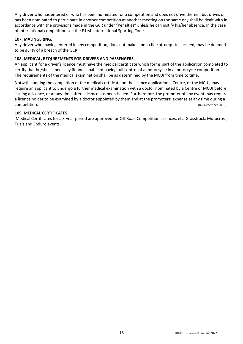Any driver who has entered or who has been nominated for a competition and does not drive therein, but drives or has been nominated to participate in another competition at another meeting on the same day shall be dealt with in accordance with the provisions made in the GCR under "Penalties" unless he can justify his/her absence. In the case of International competition see the F.I.M. International Sporting Code.

#### **107. MALINGERING.**

Any driver who, having entered in any competition, does not make a bona fide attempt to succeed, may be deemed to be guilty of a breach of the GCR.

#### **108. MEDICAL, REQUIREMENTS FOR DRIVERS AND PASSENGERS.**

An applicant for a driver's licence must have the medical certificate which forms part of the application completed to certify that he/she is medically fit and capable of having full control of a motorcycle in a motorcycle competition. The requirements of the medical examination shall be as determined by the MCUI from time to time.

Notwithstanding the completion of the medical certificate on the licence application a Centre, or the MCUI, may require an applicant to undergo a further medical examination with a doctor nominated by a Centre or MCUI before issuing a licence, or at any time after a licence has been issued. Furthermore, the promoter of any event may require a licence holder to be examined by a doctor appointed by them and at the promoters' expense at any time during a **competition.** (ICC December 2018)

#### **109. MEDICAL CERTIFICATES.**

Medical Certificates for a 3-year period are approved for Off Road Competition Licences, etc. Grasstrack, Motocross, Trials and Enduro events.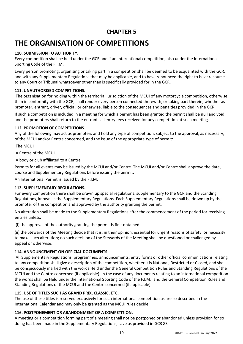### **CHAPTER 5**

### **THE ORGANISATION OF COMPETITIONS**

#### **110. SUBMISSION TO AUTHORITY.**

Every competition shall be held under the GCR and if an International competition, also under the International Sporting Code of the F.I.M.

Every person promoting, organising or taking part in a competition shall be deemed to be acquainted with the GCR, and with any Supplementary Regulations that may be applicable, and to have renounced the right to have recourse to any Court or Tribunal whatsoever other than is specifically provided for in the GCR.

#### **111. UNAUTHORISED COMPETITIONS.**

The organisation for holding within the territorial jurisdiction of the MCUI of any motorcycle competition, otherwise than in conformity with the GCR, shall render every person connected therewith, or taking part therein, whether as promoter, entrant, driver, official, or otherwise, liable to the consequences and penalties provided in the GCR

If such a competition is included in a meeting for which a permit has been granted the permit shall be null and void, and the promoters shall return to the entrants all entry fees received for any competition at such meeting.

#### **112. PROMOTION OF COMPETITIONS.**

Any of the following may act as promoters and hold any type of competition, subject to the approval, as necessary, of the MCUI and/or Centre concerned, and the issue of the appropriate type of permit:

The MCUI

A Centre of the MCUI

A body or club affiliated to a Centre

Permits for all events may be issued by the MCUI and/or Centre. The MCUI and/or Centre shall approve the date, course and Supplementary Regulations before issuing the permit.

An International Permit is issued by the F.I.M.

#### **113. SUPPLEMENTARY REGULATIONS.**

For every competition there shall be drawn up special regulations, supplementary to the GCR and the Standing Regulations, known as the Supplementary Regulations. Each Supplementary Regulations shall be drawn up by the promoter of the competition and approved by the authority granting the permit.

No alteration shall be made to the Supplementary Regulations after the commencement of the period for receiving entries unless:

(i) the approval of the authority granting the permit is first obtained.

(ii) the Stewards of the Meeting decide that it is, in their opinion, essential for urgent reasons of safety, or necessity to make such alteration; no such decision of the Stewards of the Meeting shall be questioned or challenged by appeal or otherwise.

#### **114. ANNOUNCEMENT ON OFFICIAL DOCUMENTS.**

All Supplementary Regulations, programmes, announcements, entry forms or other official communications relating to any competition shall give a description of the competition, whether it is National, Restricted or Closed, and shall be conspicuously marked with the words Held under the General Competition Rules and Standing Regulations of the MCUI and the Centre concerned (if applicable). In the case of any documents relating to an international competition the words shall be Held under the International Sporting Code of the F.I.M., and the General Competition Rules and Standing Regulations of the MCUI and the Centre concerned (if applicable).

#### **115. USE OF TITLES SUCH AS GRAND PRIX, CLASSIC, ETC.**

The use of these titles is reserved exclusively for such international competition as are so described in the International Calendar and may only be granted as the MCUI rules decide.

#### **116. POSTPONEMENT OR ABANDONMENT OF A COMPETITION.**

A meeting or a competition forming part of a meeting shall not be postponed or abandoned unless provision for so doing has been made in the Supplementary Regulations, save as provided in GCR 83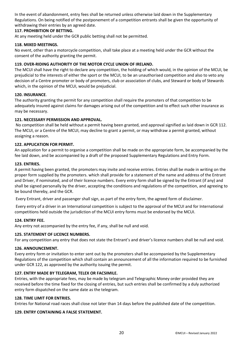In the event of abandonment, entry fees shall be returned unless otherwise laid down in the Supplementary Regulations. On being notified of the postponement of a competition entrants shall be given the opportunity of withdrawing their entries by an agreed date.

#### **117. PROHIBITION OF BETTING.**

At any meeting held under the GCR public betting shall not be permitted.

#### **118. MIXED MEETINGS.**

No event, other than a motorcycle competition, shall take place at a meeting held under the GCR without the consent of the authority granting the permit.

#### **119. OVER-RIDING AUTHORITY OF THE MOTOR CYCLE UNION OF IRELAND.**

The MCUI shall have the right to declare any competition, the holding of which would, in the opinion of the MCUI, be prejudicial to the interests of either the sport or the MCUI, to be an unauthorised competition and also to veto any decision of a Centre promoter or body of promoters, club or association of clubs, and Steward or body of Stewards which, in the opinion of the MCUI, would be prejudicial.

#### **120. INSURANCE**.

The authority granting the permit for any competition shall require the promoters of that competition to be adequately insured against claims for damages arising out of the competition and to effect such other insurance as may be necessary.

#### **121. NECESSARY PERMISSION AND APPROVAL.**

No competition shall be held without a permit having been granted, and approval signified as laid down in GCR 112. The MCUI, or a Centre of the MCUI, may decline to grant a permit, or may withdraw a permit granted, without assigning a reason.

#### **122. APPLICATION FOR PERMIT.**

An application for a permit to organise a competition shall be made on the appropriate form, be accompanied by the fee laid down, and be accompanied by a draft of the proposed Supplementary Regulations and Entry Form.

#### **123. ENTRIES.**

A permit having been granted, the promoters may invite and receive entries. Entries shall be made in writing on the proper form supplied by the promoters. which shall provide for a statement of the name and address of the Entrant and Driver, if nominated, and of their licence numbers. Every entry form shall be signed by the Entrant (if any) and shall be signed personally by the driver, accepting the conditions and regulations of the competition, and agreeing to be bound thereby, and the GCR.

Every Entrant, driver and passenger shall sign, as part of the entry form, the agreed form of disclaimer.

Every entry of a driver in an International competition is subject to the approval of the MCUI and for International competitions held outside the jurisdiction of the MCUI entry forms must be endorsed by the MCUI.

#### **124. ENTRY FEE.**

Any entry not accompanied by the entry fee, if any, shall be null and void.

#### **125. STATEMENT OF LICENCE NUMBERS.**

For any competition any entry that does not state the Entrant's and driver's licence numbers shall be null and void.

#### **126. ANNOUNCEMENT.**

Every entry form or invitation to enter sent out by the promoters shall be accompanied by the Supplementary Regulations of the competition which shall contain an announcement of all the information required to be furnished under GCR 122, as approved by the authority issuing the permit.

#### **127. ENTRY MADE BY TELEGRAM, TELEX OR FACSIMILE.**

Entries, with the appropriate fees, may be made by telegram and Telegraphic Money order provided they are received before the time fixed for the closing of entries, but such entries shall be confirmed by a duly authorized entry form dispatched on the same date as the telegram.

#### **128. TIME LIMIT FOR ENTRIES.**

Entries for National road races shall close not later than 14 days before the published date of the competition.

#### **129. ENTRY CONTAINING A FALSE STATEMENT.**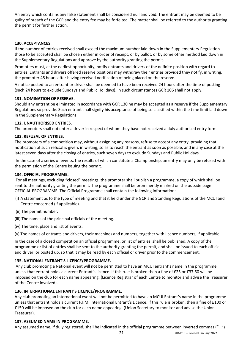An entry which contains any false statement shall be considered null and void. The entrant may be deemed to be guilty of breach of the GCR and the entry fee may be forfeited. The matter shall be referred to the authority granting the permit for further action.

#### **130. ACCEPTANCES.**

If the number of entries received shall exceed the maximum number laid down in the Supplementary Regulation those to be accepted shall be chosen either in order of receipt, or by ballot, or by some other method laid down in the Supplementary Regulations and approve by the authority granting the permit.

Promoters must, at the earliest opportunity, notify entrants and drivers of the definite position with regard to entries. Entrants and drivers offered reserve positions may withdraw their entries provided they notify, in writing, the promoter 48 hours after having received notification of being placed on the reserve.

A notice posted to an entrant or driver shall be deemed to have been received 24 hours after the time of posting (such 24 hours to exclude Sundays and Public Holidays). In such circumstances GCR 106 shall not apply.

#### **131. NOMINATION OF RESERVE.**

Should any entrant be eliminated in accordance with GCR 130 he may be accepted as a reserve if the Supplementary Regulations so provide. Such entrant shall signify his acceptance of being so classified within the time limit laid down in the Supplementary Regulations.

#### **132. UNAUTHORISED ENTRIES.**

The promoters shall not enter a driver in respect of whom they have not received a duly authorised entry form.

#### **133. REFUSAL OF ENTRIES.**

The promoters of a competition may, without assigning any reasons, refuse to accept any entry, providing that notification of such refusal is given, in writing, so as to reach the entrant as soon as possible, and in any case at the latest seven days after the closing of entries, such seven days to exclude Sundays and Public Holidays.

In the case of a series of events, the results of which constitute a Championship, an entry may only be refused with the permission of the Centre issuing the permit.

#### **134. OFFICIAL PROGRAMME.**

For all meetings, excluding "closed" meetings, the promoter shall publish a programme, a copy of which shall be sent to the authority granting the permit. The programme shall be prominently marked on the outside page OFFICIAL PROGRAMME. The Official Programme shall contain the following information:

- (i) A statement as to the type of meeting and that it held under the GCR and Standing Regulations of the MCUI and Centre concerned (if applicable).
- (ii) The permit number.
- (iii) The names of the principal officials of the meeting.
- (iv) The time, place and list of events.

(v) The names of entrants and drivers, their machines and numbers, together with licence numbers, if applicable.

In the case of a closed competition an official programme, or list of entries, shall be published. A copy of the programme or list of entries shall be sent to the authority granting the permit, and shall be issued to each official and driver, or posted up, so that it may be read by each official or driver prior to the commencement.

#### **135. NATIONAL ENTRANT'S LICENCE/PROGRAMME.**

Any club promoting a National event will not be permitted to have an MCUI entrant's name in the programme unless that entrant holds a current Entrant's licence. If this rule is broken then a fine of £25 or €37.50 will be imposed on the club for each name appearing. (Licence Registrar of each Centre to monitor and advise the Treasurer of the Centre involved).

#### **136. INTERNATIONAL ENTRANT'S LICENCE/PROGRAMME.**

Any club promoting an International event will not be permitted to have an MCUI Entrant's name in the programme unless that entrant holds a current F.I.M. International Entrant's Licence. If this rule is broken, then a fine of £100 or €150 will be imposed on the club for each name appearing. (Union Secretary to monitor and advise the Union Treasurer).

#### **137. ASSUMED NAME IN PROGRAMME.**

Any assumed name, if duly registered, shall be indicated in the official programme between inverted commas ("…")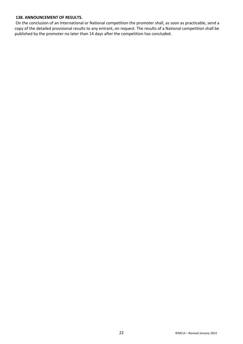#### **138. ANNOUNCEMENT OF RESULTS.**

On the conclusion of an International or National competition the promoter shall, as soon as practicable, send a copy of the detailed provisional results to any entrant, on request. The results of a National competition shall be published by the promoter no later than 14 days after the competition has concluded.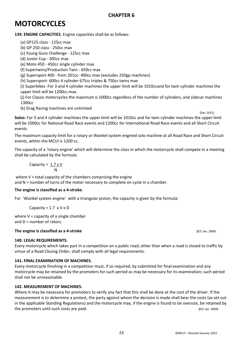### **MOTORCYCLES**

**139. ENGINE CAPACITIES**. Engine capacities shall be as follows:

(a) GP125 class - 125cc max

(b) GP 250 class - 250cc max

(c) Young Guns Challenge - 125cc max

(d) Junior Cup - 305cc max

(e) Moto 450 - 450cc single cylinder max

(f) Supertwins/Production Twin - 650cc max

(g) Supersport 400 - from 201cc- 400cc max (excludes 250gp machines)

(h) Supersport- 600cc 4 cylinder 675cc triples & 750cc twins max

(i) Superbikes -For 3 and 4 cylinder machines the upper limit will be 1010ccand for twin cylinder machines the upper limit will be 1200cc.max.

(j) For Classic motorcycles the maximum is 1000cc regardless of the number of cylinders, and sidecar machines 1300cc

(k) Drag Racing machines are unlimited

 (Dec 2015) **Solos:** For 3 and 4 cylinder machines the upper limit will be 1010cc and for twin cylinder machines the upper limit will be 1000cc for National Road Race events and 1200cc for International Road Race events and all Short Circuit events.

The maximum capacity limit for a rotary or Wankel system engined solo machine at all Road Race and Short Circuit events, within the MCUI is 1200 cc.

The capacity of a 'rotary engine' which will determine the class in which the motorcycle shall compete in a meeting shall be calculated by the formula:

$$
Capacity = \frac{1.7 \times V}{N}
$$

where  $V =$  total capacity of the chambers comprising the engine and N = number of turns of the motor necessary to complete on cycle in a chamber.

#### **The engine is classified as a 4-stroke**.

For 'Wankel system engine' with a triangular piston, the capacity is given by the formula:

Capacity =  $1.7 \times V \times D$ 

where  $V =$  capacity of a single chamber and D = number of rotors.

#### **The engine is classified as a 4-stroke (ICC Jan. 2009)** (ICC Jan. 2009)

#### **140. LEGAL REQUIREMENTS.**

Every motorcycle which takes part in a competition on a public road, other than when a road is closed to traffic by virtue of a Road Closing Order, shall comply with all legal requirements.

#### **141. FINAL EXAMINATION OF MACHINES.**

Every motorcycle finishing in a competition must, if so required, by submitted for final examination and any motorcycle may be retained by the promoters for such period as may be necessary for its examination; such period shall not be unreasonable.

#### **142. MEASUREMENT OF MACHINES.**

Where it may be necessary for promoters to verify any fact that this shall be done at the cost of the driver. If the measurement is to determine a protest, the party against whom the decision is made shall bear the costs (as set out in the applicable Standing Regulations) and the motorcycle may, if the engine is found to be oversize, be retained by the promoters until such costs are paid. **(ICC Jan. 2009)** (ICC Jan. 2009)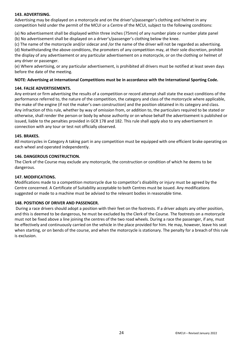#### **143. ADVERTISING.**

Advertising may be displayed on a motorcycle and on the driver's/passenger's clothing and helmet in any competition held under the permit of the MCUI or a Centre of the MCUI, subject to the following conditions:

(a) No advertisement shall be displayed within three inches (75mm) of any number plate or number plate panel

(b) No advertisement shall be displayed on a driver's/passenger's clothing below the knee.

(c) The name of the motorcycle and/or sidecar and /or the name of the driver will not be regarded as advertising. (d) Notwithstanding the above conditions, the promoters of any competition may, at their sole discretion, prohibit the display of any advertisement or any particular advertisement on a motorcycle, or on the clothing or helmet of any driver or passenger.

(e) Where advertising, or any particular advertisement, is prohibited all drivers must be notified at least seven days before the date of the meeting.

#### **NOTE: Advertising at International Competitions must be in accordance with the International Sporting Code.**

#### **144. FALSE ADVERTISEMENTS.**

Any entrant or firm advertising the results of a competition or record attempt shall state the exact conditions of the performance referred to, the nature of the competition, the category and class of the motorcycle where applicable, the make of the engine (if not the maker's own construction) and the position obtained in its category and class. Any infraction of this rule, whether by way of omission from, or addition to, the particulars required to be stated or otherwise, shall render the person or body by whose authority or on whose behalf the advertisement is published or issued, liable to the penalties provided in GCR 178 and 182. This rule shall apply also to any advertisement in connection with any tour or test not officially observed.

#### **145. BRAKES.**

All motorcycles in Category A taking part in any competition must be equipped with one efficient brake operating on each wheel and operated independently.

#### **146. DANGEROUS CONSTRUCTION.**

The Clerk of the Course may exclude any motorcycle, the construction or condition of which he deems to be dangerous.

#### **147. MODIFICATIONS.**

Modifications made to a competition motorcycle due to competitor's disability or injury must be agreed by the Centre concerned. A Certificate of Suitability acceptable to both Centres must be issued. Any modifications suggested or made to a machine must be advised to the relevant bodies in reasonable time.

#### **148. POSITIONS OF DRIVER AND PASSENGER.**

During a race drivers should adopt a position with their feet on the footrests. If a driver adopts any other position, and this is deemed to be dangerous, he must be excluded by the Clerk of the Course. The footrests on a motorcycle must not be fixed above a line joining the centres of the two road wheels. During a race the passenger, if any, must be effectively and continuously carried on the vehicle in the place provided for him. He may, however, leave his seat when starting, or on bends of the course, and when the motorcycle is stationary. The penalty for a breach of this rule is exclusion.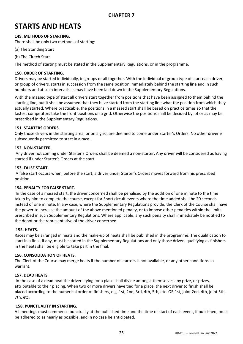### **STARTS AND HEATS**

#### **149. METHODS OF STARTING.**

There shall be only two methods of starting:

- (a) The Standing Start
- (b) The Clutch Start

The method of starting must be stated in the Supplementary Regulations, or in the programme.

#### **150. ORDER OF STARTING.**

Drivers may be started individually, in groups or all together. With the individual or group type of start each driver, or group of drivers, starts in succession from the same position immediately behind the starting line and in such numbers and at such intervals as may have been laid down in the Supplementary Regulations.

With the massed type of start all drivers start together from positions that have been assigned to them behind the starting line, but it shall be assumed that they have started from the starting line what the position from which they actually started. Where practicable, the positions in a massed start shall be based on practice times so that the fastest competitors take the front positions on a grid. Otherwise the positions shall be decided by lot or as may be prescribed in the Supplementary Regulations.

#### **151. STARTERS ORDERS.**

Only those drivers in the starting area, or on a grid, are deemed to come under Starter's Orders. No other driver is subsequently permitted to start in a race.

#### **152. NON-STARTER.**

Any driver not coming under Starter's Orders shall be deemed a non-starter. Any driver will be considered as having started if under Starter's Orders at the start.

#### **153. FALSE START.**

A false start occurs when, before the start, a driver under Starter's Orders moves forward from his prescribed position.

#### **154. PENALTY FOR FALSE START.**

In the case of a massed start, the driver concerned shall be penalised by the addition of one minute to the time taken by him to complete the course, except for Short circuit events where the time added shall be 20 seconds instead of one minute. In any case, where the Supplementary Regulations provide, the Clerk of the Course shall have the power to increase the amount of the above mentioned penalty, or to impose other penalties within the limits prescribed in such Supplementary Regulations. Where applicable, any such penalty shall immediately be notified to the depot or the representative of the driver concerned.

#### **155. HEATS.**

Races may be arranged in heats and the make-up of heats shall be published in the programme. The qualification to start in a final, if any, must be stated in the Supplementary Regulations and only those drivers qualifying as finishers in the heats shall be eligible to take part in the final.

#### **156. CONSOLIDATION OF HEATS.**

The Clerk of the Course may merge heats if the number of starters is not available, or any other conditions so warrant.

#### **157. DEAD HEATS.**

In the case of a dead heat the drivers tying for a place shall divide amongst themselves any prize, or prizes, attributable to their placing. When two or more drivers have tied for a place, the next driver to finish shall be placed according to the numerical order of finishers, e.g. 1st, 2nd, 3rd, 4th, 5th, etc. OR 1st, joint 2nd, 4th, joint 5th, 7th, etc.

#### **158. PUNCTUALITY IN STARTING.**

All meetings must commence punctually at the published time and the time of start of each event, if published, must be adhered to as nearly as possible, and in no case be anticipated.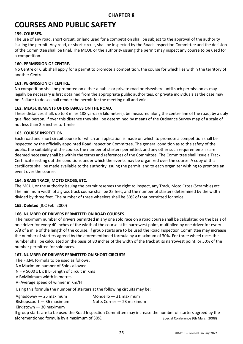### **COURSES AND PUBLIC SAFETY**

#### **159. COURSES.**

The use of any road, short circuit, or land used for a competition shall be subject to the approval of the authority issuing the permit. Any road, or short circuit, shall be inspected by the Roads Inspection Committee and the decision of the Committee shall be final. The MCUI, or the authority issuing the permit may inspect any course to be used for a competition.

#### **160. PERMISSION OF CENTRE.**

No Centre or Club shall apply for a permit to promote a competition, the course for which lies within the territory of another Centre.

#### **161. PERMISSION OF CENTRE.**

No competition shall be promoted on either a public or private road or elsewhere until such permission as may legally be necessary is first obtained from the appropriate public authorities, or private individuals as the case may be. Failure to do so shall render the permit for the meeting null and void.

#### **162. MEASUREMENTS OF DISTANCES ON THE ROAD.**

These distances shall, up to 3 miles 188 yards (5 kilometres), be measured along the centre line of the road, by a duly qualified person, if over this distance they shall be determined by means of the Ordnance Survey map of a scale of not less than 2.5 inches to 1 mile.

#### **163. COURSE INSPECTION.**

Each road and short circuit course for which an application is made on which to promote a competition shall be inspected by the officially appointed Road Inspection Committee. The general condition as to the safety of the public, the suitability of the course, the number of starters permitted, and any other such requirements as are deemed necessary shall be within the terms and references of the Committee. The Committee shall issue a Track Certificate setting out the conditions under which the events may be organized over the course. A copy of this certificate shall be made available to the authority issuing the permit, and to each organizer wishing to promote an event over the course.

#### **164. GRASS TRACK, MOTO CROSS, ETC.**

The MCUI, or the authority issuing the permit reserves the right to inspect, any Track, Moto Cross (Scramble) etc. The minimum width of a grass track course shall be 25 feet, and the number of starters determined by the width divided by three feet. The number of three wheelers shall be 50% of that permitted for solos.

#### **165. Deleted** (ICC Feb. 2000)

#### **166. NUMBER OF DRIVERS PERMITTED ON ROAD COURSES.**

The maximum number of drivers permitted in any one solo race on a road course shall be calculated on the basis of one driver for every 40 inches of the width of the course at its narrowest point, multiplied by one driver for every 5/8 of a mile of the length of the course. If group starts are to be used the Road Inspection Committee may increase the number of starters agreed by the aforementioned formula by a maximum of 30%. For three wheel races the number shall be calculated on the basis of 80 inches of the width of the track at its narrowest point, or 50% of the number permitted for solo races.

#### **167. NUMBER OF DRIVERS PERMITTED ON SHORT CIRCUITS**

The F.I.M. formula to be used as follows: N= Maximum number of Solos allowed N = v 5600 x L x B L=Length of circuit in Kms V B=Minimum width in metres V=Average speed of winner in Km/H

Using this formula the number of starters at the following circuits may be:

| Aghadowey $-25$ maximum    | Mondello $-31$ maximum    |
|----------------------------|---------------------------|
| Bishopscourt $-36$ maximum | Nutts Corner – 23 maximum |
| Kirkistown $-30$ maximum   |                           |

If group starts are to be used the Road Inspection Committee may increase the number of starters agreed by the aforementioned formula by a maximum of 30%. (Special Conference 9th March 2008)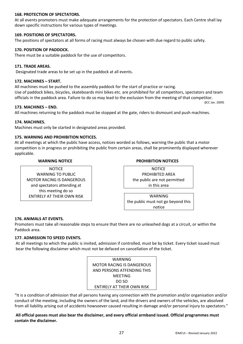#### **168. PROTECTION OF SPECTATORS.**

At all events promoters must make adequate arrangements for the protection of spectators. Each Centre shall lay down specific instructions for various types of meetings.

#### **169. POSITIONS OF SPECTATORS.**

The positions of spectators at all forms of racing must always be chosen with due regard to public safety.

#### **170. POSITION OF PADDOCK.**

There must be a suitable paddock for the use of competitors.

#### **171. TRADE AREAS.**

Designated trade areas to be set up in the paddock at all events.

#### **172. MACHINES – START.**

All machines must be pushed to the assembly paddock for the start of practice or racing. Use of paddock bikes, bicycles, skateboards mini bikes etc. are prohibited for all competitors, spectators and team officials in the paddock area. Failure to do so may lead to the exclusion from the meeting of that competitor. **(**ICC Jan. 2009)

#### **173. MACHINES – END.**

All machines returning to the paddock must be stopped at the gate, riders to dismount and push machines.

#### **174. MACHINES.**

Machines must only be started in designated areas provided.

#### **175. WARNING AND PROHIBITION NOTICES.**

At all meetings at which the public have access, notices worded as follows, warning the public that a motor competition is in progress or prohibiting the public from certain areas, shall be prominently displayed wherever applicable.

**NOTICE** WARNING TO PUBLIC MOTOR RACING IS DANGEROUS and spectators attending at this meeting do so ENTIRELY AT THEIR OWN RISK

#### **WARNING NOTICE PROHIBITION NOTICES**

NOTICE PROHIBITED AREA the public are not permitted in this area

WARNING the public must not go beyond this notice

#### **176. ANIMALS AT EVENTS.**

Promoters must take all reasonable steps to ensure that there are no unleashed dogs at a circuit, or within the Paddock area.

#### **177. ADMISSION TO SPEED EVENTS.**

At all meetings to which the public is invited, admission if controlled, must be by ticket. Every ticket issued must bear the following disclaimer which must not be defaced on cancellation of the ticket.

| WARNING                    |
|----------------------------|
| MOTOR RACING IS DANGEROUS  |
| AND PERSONS ATFENDING THIS |
| MEETING                    |
| DO SO                      |
| ENTIRELY AT THEIR OWN RISK |
|                            |

"It is a condition of admission that all persons having any connection with the promotion and/or organisation and/or conduct of the meeting, including the owners of the land, and the drivers and owners of the vehicles, are absolved from all liability arising out of accidents howsoever caused resulting in damage and/or personal injury to spectators."

**All official passes must also bear the disclaimer, and every official armband issued. Official programmes must contain the disclaimer.**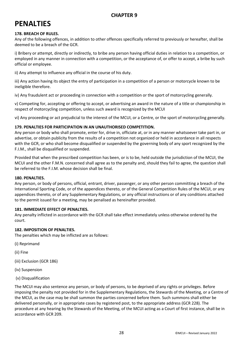### **PENALTIES**

#### **178. BREACH OF RULES.**

Any of the following offences, in addition to other offences specifically referred to previously or hereafter, shall be deemed to be a breach of the GCR.

i) Bribery or attempt, directly or indirectly, to bribe any person having official duties in relation to a competition, or employed in any manner in connection with a competition, or the acceptance of, or offer to accept, a bribe by such official or employee.

ii) Any attempt to influence any official in the course of his duty.

iii) Any action having its object the entry of participation in a competition of a person or motorcycle known to be ineligible therefore.

iv) Any fraudulent act or proceeding in connection with a competition or the sport of motorcycling generally.

v) Competing for, accepting or offering to accept, or advertising an award in the nature of a title or championship in respect of motorcycling competition, unless such award is recognized by the MCUI

vi) Any proceeding or act prejudicial to the interest of the MCUI, or a Centre, or the sport of motorcycling generally.

#### **179. PENALTIES FOR PARTICIPATION IN AN UNAUTHORISED COMPETITION.**

Any person or body who shall promote, enter for, drive in, officiate at, or in any manner whatsoever take part in, or advertise, or obtain publicity from the results of a competition not organized or held in accordance in all respects with the GCR, or who shall become disqualified or suspended by the governing body of any sport recognized by the F.I.M., shall be disqualified or suspended.

Provided that when the prescribed competition has been, or is to be, held outside the jurisdiction of the MCUI, the MCUI and the other F.M.N. concerned shall agree as to the penalty and, should they fail to agree, the question shall be referred to the F.I.M. whose decision shall be final.

#### **180. PENALTIES.**

Any person, or body of persons, official, entrant, driver, passenger, or any other person committing a breach of the International Sporting Code, or of the appendices thereto, or of the General Competition Rules of the MCUI, or any appendices thereto, or of any Supplementary Regulations, or any official instructions or of any conditions attached to the permit issued for a meeting, may be penalised as hereinafter provided.

#### **181. IMMEDIATE EFFECT OF PENALTIES.**

Any penalty inflicted in accordance with the GCR shall take effect immediately unless otherwise ordered by the court.

#### **182. IMPOSITION OF PENALTIES.**

The penalties which may be inflicted are as follows:

- (i) Reprimand
- (ii) Fine
- (iii) Exclusion (GCR 186)
- (iv) Suspension
- (v) Disqualification

The MCUI may also sentence any person, or body of persons, to be deprived of any rights or privileges. Before imposing the penalty not provided for in the Supplementary Regulations, the Stewards of the Meeting, or a Centre of the MCUI, as the case may be shall summon the parties concerned before them. Such summons shall either be delivered personally, or in appropriate cases by registered post, to the appropriate address (GCR 228). The procedure at any hearing by the Stewards of the Meeting, of the MCUI acting as a Court of first instance, shall be in accordance with GCR 209.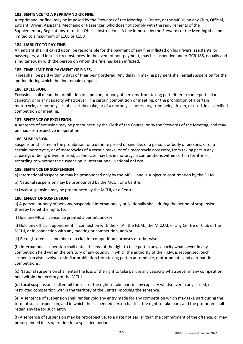#### **183. SENTENCE TO A REPRIMAND OR FINE.**

A reprimand, or fine, may be imposed by the Stewards of the Meeting, a Centre, or the MCUI, on any Club, Official, Entrant, Driver, Assistant, Mechanic or Passenger, who does not comply with the requirements of the Supplementary Regulations, or of the Official Instructions. A fine imposed by the Stewards of the Meeting shall be limited to a maximum of £100 or €150

#### **184. LIABILITY TO PAY FINE.**

An entrant shall, if called upon, be responsible for the payment of any fine inflicted on his drivers, assistants, or passengers, and in such circumstances, in the event of non-payment, may be suspended under GCR 185, equally and simultaneously with the person on whom the fine has been inflicted.

#### **185. TIME LIMIT FOR PAYMENT OF FINES.**

Fines shall be paid within 5 days of their being ordered. Any delay in making payment shall entail suspension for the period during which the fine remains unpaid.

#### **186. EXCLUSION.**

Exclusion shall mean the prohibition of a person, or body of persons, from taking part either in some particular capacity, or in any capacity whatsoever, in a certain competition or meeting, or the prohibition of a certain motorcycle, or motorcycles of a certain make, or of a motorcycle accessory, from being driven, or used, in a specified competition or meeting.

#### **187. SENTENCE OF EXCLUSION.**

A sentence of exclusion may be pronounced by the Clerk of the Course, or by the Stewards of the Meeting, and may be made retrospective in operation.

#### **188. SUSPENSION.**

Suspension shall mean the prohibition for a definite period or sine die, of a person, or body of persons, or of a certain motorcycle, or of motorcycles of a certain make, or of a motorcycle accessory, from taking part in any capacity, or being driven or used, as the case may be, in motorcycle competitions within certain territories, according to whether the suspension in International, National or Local.

#### **189. SENTENCE OF SUSPENSION**

a) International suspension may be pronounced only by the MCUI, and is subject to confirmation by the F.I.M.

b) National suspension may be pronounced by the MCUI, or a Centre.

c) Local suspension may be pronounced by the MCUI, or a Centre.

#### **190. EFFECT OF SUSPENSION**

a) A person, or body of persons, suspended Internationally or Nationally shall, during the period of suspension, thereby forfeit the rights to:

i) Hold any MCUI licence, be granted a permit, and/or

ii) Hold any official appointment in connection with the F.I.A., the F.I.M., the M.C.U.I, or any Centre or Club of the MCUI, or in connection with any meeting or competition, and/or

iii) Be registered as a member of a club for competition purposes or otherwise.

(b) International suspension shall entail the loss of the right to take part in any capacity whatsoever in any competition held within the territory of any country in which the authority of the F.I.M. is recognised. Such suspension also involves a similar prohibition from taking part in automobile, motor-aquatic and aeronautic competitions.

(c) National suspension shall entail the loss of the right to take part in any capacity whatsoever in any competition held within the territory of the MCUI

(d) Local suspension shall entail the loss of the right to take part in any capacity whatsoever in any closed, or restricted competition within the territory of the Centre imposing the sentence.

(e) A sentence of suspension shall render void any entry made for any competition which may take part during the term of such suspension, and in which the suspended person has lost the right to take part, and the promoter shall retain any fee for such entry.

(f) A sentence of suspension may be retrospective, to a date not earlier than the commitment of the offence, or may be suspended in its operation for a specified period.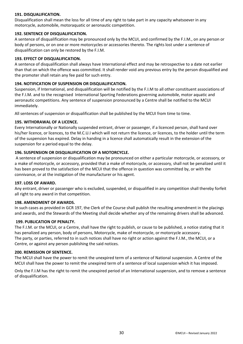#### **191. DISQUALIFICATION.**

Disqualification shall mean the loss for all time of any right to take part in any capacity whatsoever in any motorcycle, automobile, motoraquatic or aeronautic competition.

#### **192. SENTENCE OF DISQUALIFICATION.**

A sentence of disqualification may be pronounced only by the MCUI, and confirmed by the F.I.M., on any person or body of persons, or on one or more motorcycles or accessories thereto. The rights lost under a sentence of disqualification can only be restored by the F.I.M.

#### **193. EFFECT OF DISQUALIFICATION.**

A sentence of disqualification shall always have International effect and may be retrospective to a date not earlier than that on which the offence was committed. It shall render void any previous entry by the person disqualified and the promoter shall retain any fee paid for such entry.

#### **194. NOTIFICATION OF SUSPENSION OR DISQUALIFICATION.**

Suspension, if International, and disqualification will be notified by the F.I.M to all other constituent associations of the F.I.M. and to the recognised International Sporting Federations governing automobile, motor aquatic and aeronautic competitions. Any sentence of suspension pronounced by a Centre shall be notified to the MCUI immediately.

All sentences of suspension or disqualification shall be published by the MCUI from time to time.

#### **195. WITHDRAWAL OF A LICENCE.**

Every Internationally or Nationally suspended entrant, driver or passenger, if a licenced person, shall hand over his/her licence, or licences, to the M.C.U.I which will not return the licence, or licences, to the holder until the term of the suspension has expired. Delay in handing in a licence shall automatically result in the extension of the suspension for a period equal to the delay.

#### **196. SUSPENSION OR DISQUALIFICATION OF A MOTORCYCLE.**

A sentence of suspension or disqualification may be pronounced on either a particular motorcycle, or accessory, or a make of motorcycle, or accessory, provided that a make of motorcycle, or accessory, shall not be penalized until it has been proved to the satisfaction of the MCUI that the offence in question was committed by, or with the connivance, or at the instigation of the manufacturer or his agent.

#### **197. LOSS OF AWARD.**

Any entrant, driver or passenger who is excluded, suspended, or disqualified in any competition shall thereby forfeit all right to any award in that competition.

#### **198. AMENDMENT OF AWARDS.**

In such cases as provided in GCR 197, the Clerk of the Course shall publish the resulting amendment in the placings and awards, and the Stewards of the Meeting shall decide whether any of the remaining drivers shall be advanced.

#### **199. PUBLICATION OF PENALTY.**

The F.I.M. or the MCUI, or a Centre, shall have the right to publish, or cause to be published, a notice stating that it has penalized any person, body of persons, Motorcycle, make of motorcycle, or motorcycle accessory. The party, or parties, referred to in such notices shall have no right or action against the F.I.M., the MCUI, or a Centre, or against any person publishing the said notices.

#### **200. REMISSION OF SENTENCE.**

The MCUI shall have the power to remit the unexpired term of a sentence of National suspension. A Centre of the MCUI shall have the power to remit the unexpired term of a sentence of local suspension which it has imposed.

Only the F.I.M has the right to remit the unexpired period of an International suspension, and to remove a sentence of disqualification.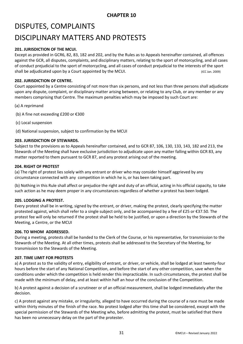## DISPUTES, COMPLAINTS DISCIPLINARY MATTERS AND PROTESTS

#### **201. JURISDICTION OF THE MCUI.**

Except as provided in GCR6, 82, 83, 182 and 202, and by the Rules as to Appeals hereinafter contained, all offences against the GCR, all disputes, complaints, and disciplinary matters, relating to the sport of motorcycling, and all cases of conduct prejudicial to the sport of motorcycling, and all cases of conduct prejudicial to the interests of the sport shall be adjudicated upon by a Court appointed by the MCUI. (ICC Jan. 2009)

#### **202. JURISDICTION OF CENTRE.**

Court appointed by a Centre consisting of not more than six persons, and not less than three persons shall adjudicate upon any dispute, complaint, or disciplinary matter arising between, or relating to any Club, or any member or any members comprising that Centre. The maximum penalties which may be imposed by such Court are:

- (a) A reprimand
- (b) A fine not exceeding £200 or €300
- (c) Local suspension

(d) National suspension, subject to confirmation by the MCUI

#### **203. JURISDICTION OF STEWARDS.**

Subject to the provisions as to Appeals hereinafter contained, and to GCR 87, 106, 130, 133, 143, 182 and 213, the Stewards of the Meeting shall have exclusive jurisdiction to adjudicate upon any matter falling within GCR 83, any matter reported to them pursuant to GCR 87, and any protest arising out of the meeting.

#### **204. RIGHT OF PROTEST**

(a) The right of protest lies solely with any entrant or driver who may consider himself aggrieved by any circumstance connected with any competition in which he is, or has been taking part.

(b) Nothing in this Rule shall affect or prejudice the right and duty of an official, acting in his official capacity, to take such action as he may deem proper in any circumstances regardless of whether a protest has been lodged.

#### **205. LODGING A PROTEST.**

Every protest shall be in writing, signed by the entrant, or driver, making the protest, clearly specifying the matter protested against, which shall refer to a single subject only, and be accompanied by a fee of £25 or €37.50. The protest fee will only be returned if the protest shall be held to be justified, or upon a direction by the Stewards of the Meeting, a Centre, or the MCUI

#### **206. TO WHOM ADDRESSED.**

During a meeting, protests shall be handed to the Clerk of the Course, or his representative, for transmission to the Stewards of the Meeting. At all other times, protests shall be addressed to the Secretary of the Meeting, for transmission to the Stewards of the Meeting.

#### **207. TIME LIMIT FOR PROTESTS**

a) A protest as to the validity of entry, eligibility of entrant, or driver, or vehicle, shall be lodged at least twenty-four hours before the start of any National Competition, and before the start of any other competition, save when the conditions under which the competition is held render this impracticable. In such circumstances, the protest shall be made with the minimum of delay, and at least within half an hour of the conclusion of the Competition.

b) A protest against a decision of a scrutineer or of an official measurement, shall be lodged immediately after the decision.

c) A protest against any mistake, or irregularity, alleged to have occurred during the course of a race must be made within thirty minutes of the finish of the race. No protest lodged after this time shall be considered, except with the special permission of the Stewards of the Meeting who, before admitting the protest, must be satisfied that there has been no unnecessary delay on the part of the protester.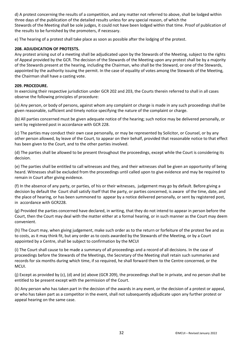d) A protest concerning the results of a competition, and any matter not referred to above, shall be lodged within three days of the publication of the detailed results unless for any special reason, of which the Stewards of the Meeting shall be sole judges, it could not have been lodged within that time. Proof of publication of the results to be furnished by the promoters, if necessary.

e) The hearing of a protest shall take place as soon as possible after the lodging of the protest.

#### **208. ADJUDICATION OF PROTESTS.**

Any protest arising out of a meeting shall be adjudicated upon by the Stewards of the Meeting, subject to the rights of Appeal provided by the GCR. The decision of the Stewards of the Meeting upon any protest shall be by a majority of the Stewards present at the hearing, including the Chairman, who shall be the Steward, or one of the Stewards, appointed by the authority issuing the permit. In the case of equality of votes among the Stewards of the Meeting, the Chairman shall have a casting vote.

#### **209. PROCEDURE.**

In exercising their respective jurisdiction under GCR 202 and 203, the Courts therein referred to shall in all cases observe the following principles of procedure:

(a) Any person, or body of persons, against whom any complaint or charge is made in any such proceedings shall be given reasonable, sufficient and timely notice specifying the nature of the complaint or charge.

(b) All parties concerned must be given adequate notice of the hearing; such notice may be delivered personally, or sent by registered post in accordance with GCR 228.

(c) The parties may conduct their own case personally, or may be represented by Solicitor, or Counsel, or by any other person allowed, by leave of the Court, to appear on their behalf, provided that reasonable notice to that effect has been given to the Court, and to the other parties involved.

(d) The parties shall be allowed to be present throughout the proceedings, except while the Court is considering its decision.

(e) The parties shall be entitled to call witnesses and they, and their witnesses shall be given an opportunity of being heard. Witnesses shall be excluded from the proceedings until called upon to give evidence and may be required to remain in Court after giving evidence.

(f) In the absence of any party, or parties, of his or their witnesses, judgement may go by default. Before giving a decision by default the Court shall satisfy itself that the party, or parties concerned, is aware of the time, date, and the place of hearing, or has been summoned to appear by a notice delivered personally, or sent by registered post, in accordance with GCR228.

(g) Provided the parties concerned have declared, in writing, that they do not intend to appear in person before the Court, then the Court may deal with the matter either at a formal hearing, or in such manner as the Court may deem convenient.

(h) The Court may, when giving judgement, make such order as to the return or forfeiture of the protest fee and as to costs, as it may think fit, but any order as to costs awarded by the Stewards of the Meeting, or by a Court appointed by a Centre, shall be subject to confirmation by the MCUI

(i) The Court shall cause to be made a summary of all proceedings and a record of all decisions. In the case of proceedings before the Stewards of the Meetings, the Secretary of the Meeting shall retain such summaries and records for six months during which time, if so required, he shall forward them to the Centre concerned, or the MCUI.

(j) Except as provided by (c), (d) and (e) above (GCR 209), the proceedings shall be in private, and no person shall be entitled to be present except with the permission of the Court.

(k) Any person who has taken part in the decision of the awards in any event, or the decision of a protest or appeal, or who has taken part as a competitor in the event, shall not subsequently adjudicate upon any further protest or appeal hearing on the same case.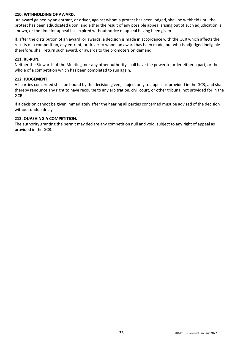#### **210. WITHHOLDING OF AWARD.**

An award gained by an entrant, or driver, against whom a protest has been lodged, shall be withheld until the protest has been adjudicated upon, and either the result of any possible appeal arising out of such adjudication is known, or the time for appeal has expired without notice of appeal having been given.

If, after the distribution of an award, or awards, a decision is made in accordance with the GCR which affects the results of a competition, any entrant, or driver to whom an award has been made, but who is adjudged ineligible therefore, shall return such award, or awards to the promoters on demand.

#### **211. RE-RUN.**

Neither the Stewards of the Meeting, nor any other authority shall have the power to order either a part, or the whole of a competition which has been completed to run again.

#### **212. JUDGEMENT.**

All parties concerned shall be bound by the decision given, subject only to appeal as provided in the GCR, and shall thereby renounce any right to have recourse to any arbitration, civil court, or other tribunal not provided for in the GCR.

If a decision cannot be given immediately after the hearing all parties concerned must be advised of the decision without undue delay.

#### **213. QUASHING A COMPETITION.**

The authority granting the permit may declare any competition null and void, subject to any right of appeal as provided in the GCR.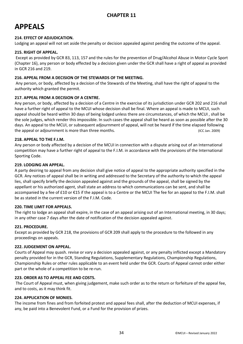### **APPEALS**

#### **214. EFFECT OF ADJUDICATION.**

Lodging an appeal will not set aside the penalty or decision appealed against pending the outcome of the appeal.

#### **215. RIGHT OF APPEAL.**

Except as provided by GCR 83, 113, 157 and the rules for the prevention of Drug/Alcohol Abuse in Motor Cycle Sport (Chapter 16), any person or body effected by a decision given under the GCR shall have a right of appeal as provided in GCR 216 and 219.

#### **216. APPEAL FROM A DECISION OF THE STEWARDS OF THE MEETING.**

Any person, or body, affected by a decision of the Stewards of the Meeting, shall have the right of appeal to the authority which granted the permit.

#### **217. APPEAL FROM A DECISION OF A CENTRE.**

Any person, or body, affected by a decision of a Centre in the exercise of its jurisdiction under GCR 202 and 216 shall have a further right of appeal to the MCUI whose decision shall be final. Where an appeal is made to MCUI, such appeal should be heard within 30 days of being lodged unless there are circumstances, of which the MCUI , shall be the sole judges, which render this impossible. In such cases the appeal shall be heard as soon as possible after the 30 days. An appeal to the MCUI, or subsequent adjournment of appeal, will not be heard if the time elapsed following the appeal or adjournment is more than three months. (ICC Jan. 2009)

#### **218. APPEAL TO THE F.I.M.**

Any person or body affected by a decision of the MCUI in connection with a dispute arising out of an International competition may have a further right of appeal to the F.I.M. in accordance with the provisions of the International Sporting Code.

#### **219. LODGING AN APPEAL.**

A party desiring to appeal from any decision shall give notice of appeal to the appropriate authority specified in the GCR. Any notices of appeal shall be in writing and addressed to the Secretary of the authority to which the appeal lies, shall specify briefly the decision appealed against and the grounds of the appeal, shall be signed by the appellant or his authorized agent, shall state an address to which communications can be sent, and shall be accompanied by a fee of £10 or €15 if the appeal is to a Centre or the MCUI The fee for an appeal to the F.I.M. shall be as stated in the current version of the F.I.M. Code.

#### **220. TIME LIMIT FOR APPEALS.**

The right to lodge an appeal shall expire, in the case of an appeal arising out of an International meeting, in 30 days; in any other case 7 days after the date of notification of the decision appealed against.

#### **221. PROCEDURE.**

Except as provided by GCR 218, the provisions of GCR 209 shall apply to the procedure to the followed in any proceedings on appeals.

#### **222. JUDGEMENT ON APPEAL.**

Courts of Appeal may quash. revise or vary a decision appealed against, or any penalty inflicted except a Mandatory penalty provided for in the GCR, Standing Regulations, Supplementary Regulations, Championship Regulations, Championship Rules or other rules applicable to an event held under the GCR. Courts of Appeal cannot order either part or the whole of a competition to be re-run.

#### **223. ORDER AS TO APPEAL FEE AND COSTS.**

The Court of Appeal must, when giving judgement, make such order as to the return or forfeiture of the appeal fee, and to costs, as it may think fit.

#### **224. APPLICATION OF MONIES.**

The income from fines and from forfeited protest and appeal fees shall, after the deduction of MCUI expenses, if any, be paid into a Benevolent Fund, or a Fund for the provision of prizes.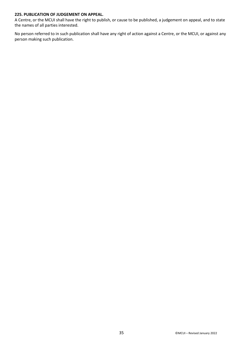#### **225. PUBLICATION OF JUDGEMENT ON APPEAL.**

A Centre, or the MCUI shall have the right to publish, or cause to be published, a judgement on appeal, and to state the names of all parties interested.

No person referred to in such publication shall have any right of action against a Centre, or the MCUI, or against any person making such publication.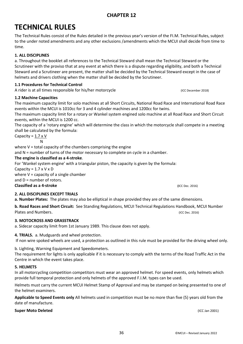### **CHAPTER 12**

## **TECHNICAL RULES**

The Technical Rules consist of the Rules detailed in the previous year's version of the FI.M. Technical Rules, subject to the under noted amendments and any other exclusions /amendments which the MCUI shall decide from time to time.

#### **1. ALL DISCIPLINES**

a. Throughout the booklet all references to the Technical Steward shall mean the Technical Steward or the Scrutineer with the proviso that at any event at which there is a dispute regarding eligibility, and both a Technical Steward and a Scrutineer are present, the matter shall be decided by the Technical Steward except in the case of helmets and drivers clothing when the matter shall be decided by the Scrutineer.

#### **1.1 Procedures for Technical Control**

A rider is at all times responsible for his/her motorcycle (ICC December 2018)

#### **1.2 Machine Capacities**

The maximum capacity limit for solo machines at all Short Circuits, National Road Race and International Road Race events within the MCUI is 1010cc for 3 and 4 cylinder machines and 1200cc for twins.

The maximum capacity limit for a rotary or Wankel system engined solo machine at all Road Race and Short Circuit events, within the MCUI is 1200 cc.

The capacity of a 'rotary engine' which will determine the class in which the motorcycle shall compete in a meeting shall be calculated by the formula:

Capacity =  $1.7 \times V$ 

**N** where  $V =$  total capacity of the chambers comprising the engine

and N = number of turns of the motor necessary to complete on cycle in a chamber.

#### **The engine is classified as a 4-stroke**.

For 'Wankel system engine' with a triangular piston, the capacity is given by the formula:

Capacity =  $1.7 \times V \times D$ where  $V =$  capacity of a single chamber

and D = number of rotors.

**Classified as a 4-stroke** (ICC Dec. 2016)

#### **2. ALL DISCIPLINES EXCEPT TRIALS**

**a. Number Plates:** The plates may also be elliptical in shape provided they are of the same dimensions.

**b. Road Races and Short Circuit:** See Standing Regulations, MCUI Technical Regulations Handbook, MCUI Number Plates and Numbers. The contract of the contract of the contract of the contract of the contract of the contract of the contract of the contract of the contract of the contract of the contract of the contract of the contra

#### **3. MOTOCROSS AND GRASSTRACK**

a. Sidecar capacity limit from 1st January 1989. This clause does not apply.

#### **4. TRIALS.** a. Mudguards and wheel protection.

If non wire spoked wheels are used, a protection as outlined in this rule must be provided for the driving wheel only.

b. Lighting, Warning Equipment and Speedometers.

The requirement for lights is only applicable if it is necessary to comply with the terms of the Road Traffic Act in the Centre in which the event takes place.

#### **5. HELMETS**

In all motorcycling competition competitors must wear an approved helmet. For speed events, only helmets which provide full temporal protection and only helmets of the approved F.I.M. types can be used.

Helmets must carry the current MCUI Helmet Stamp of Approval and may be stamped on being presented to one of the helmet examiners.

**Applicable to Speed Events only** All helmets used in competition must be no more than five (5) years old from the date of manufacture.

#### **Super Moto Deleted** (ICC Jan 2001)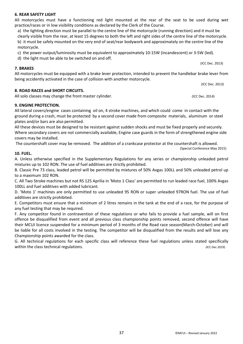#### **6. REAR SAFETY LIGHT**

All motorcycles must have a functioning red light mounted at the rear of the seat to be used during wet practice/races or in low visibility conditions as declared by the Clerk of the Course.

a) the lighting direction must be parallel to the centre line of the motorcycle (running direction) and it must be clearly visible from the rear, at least 15 degrees to both the left and right sides of the centre line of the motorcycle. b) it must be safely mounted on the very end of seat/rear bodywork and approximately on the centre line of the motorcycle.

c) the power output/luminosity must be equivalent to approximately 10-15W (incandescent) or 3-5W (led).

d) the light must be able to be switched on and off.

#### **7. BRAKES**

All motorcycles must be equipped with a brake lever protection, intended to prevent the handlebar brake lever from being accidently activated in the case of collision with another motorcycle.

(ICC Dec. 2013)

#### **8. ROAD RACES and SHORT CIRCUITS.**

All solo classes may change the front master cylinder. The match of the control of the case (ICC Dec. 2014)

#### **9. ENGINE PROTECTION.**

All lateral covers/engine cases containing oil on, 4 stroke machines, and which could come in contact with the ground during a crash, must be protected by a second cover made from composite materials, aluminum or steel plates and/or bars are also permitted.

All these devices must be designed to be resistant against sudden shocks and must be fixed properly and securely. Where secondary covers are not commercially available, Engine case guards in the form of strengthened engine side covers may be installed.

The countershaft cover may be removed. The addition of a crankcase protector at the countershaft is allowed.

#### **10. FUEL.**

A. Unless otherwise specified in the Supplementary Regulations for any series or championship unleaded petrol mixtures up to 102 RON. The use of fuel additives are strictly prohibited.

B. Classic Pre 73 class, leaded petrol will be permitted by mixtures of 50% Avgas 100LL and 50% unleaded petrol up to a maximum 102 RON.

C. All Two Stroke machines but not RS 125 Aprilia in 'Moto 1 Class' are permitted to run leaded race fuel, 100% Avgas 100LL and fuel additives with added lubricant.

D. 'Moto 1' machines are only permitted to use unleaded 95 RON or super unleaded 97RON fuel. The use of fuel additives are strictly prohibited.

E. Competitors must ensure that a minimum of 2 litres remains in the tank at the end of a race, for the purpose of any fuel testing that may be required.

F. Any competitor found in contravention of these regulations or who fails to provide a fuel sample, will on first offence be disqualified from event and all previous class championship points removed, second offence will have their MCUI licence suspended for a minimum period of 3 months of the Road race season(March-October) and will be liable for all costs involved in the testing. The competitor will be disqualified from the results and will lose any Championship points awarded for the class.

G. All technical regulations for each specific class will reference these fuel regulations unless stated specifically within the class technical regulations. The class of the class technical regulations. (ICC Dec 2019)

(ICC Dec. 2013)

(Special Conference May 2015)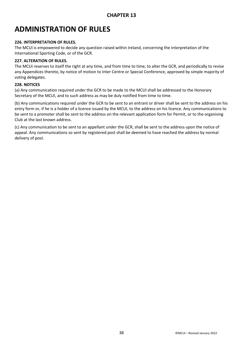### **ADMINISTRATION OF RULES**

#### **226. INTERPRETATION OF RULES.**

The MCUI is empowered to decide any question raised within Ireland, concerning the interpretation of the International Sporting Code, or of the GCR.

#### **227. ALTERATION OF RULES.**

The MCUI reserves to itself the right at any time, and from time to time, to alter the GCR, and periodically to revise any Appendices thereto, by notice of motion to Inter Centre or Special Conference, approved by simple majority of voting delegates.

#### **228. NOTICES**

(a) Any communication required under the GCR to be made to the MCUI shall be addressed to the Honorary Secretary of the MCUI, and to such address as may be duly notified from time to time.

(b) Any communications required under the GCR to be sent to an entrant or driver shall be sent to the address on his entry form or, if he is a holder of a licence issued by the MCUI, to the address on his licence. Any communications to be sent to a promoter shall be sent to the address on the relevant application form for Permit, or to the organising Club at the last known address.

(c) Any communication to be sent to an appellant under the GCR, shall be sent to the address upon the notice of appeal. Any communications so sent by registered post shall be deemed to have reached the address by normal delivery of post.